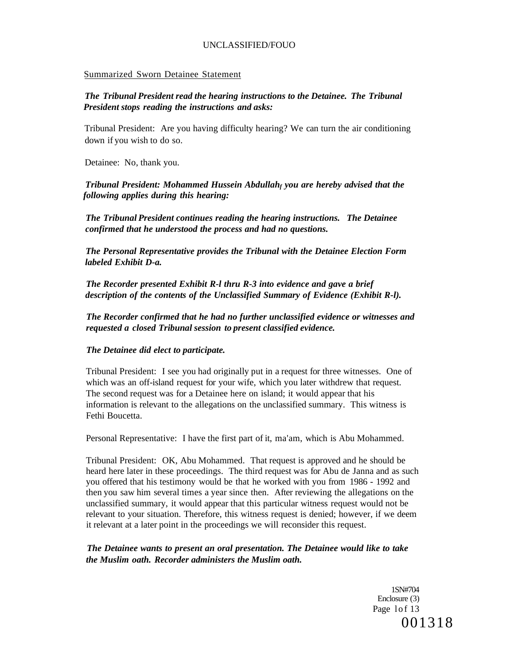### Summarized Sworn Detainee Statement

## *The Tribunal President read the hearing instructions to the Detainee. The Tribunal President stops reading the instructions and asks:*

Tribunal President: Are you having difficulty hearing? We can turn the air conditioning down if you wish to do so.

Detainee: No, thank you.

*Tribunal President: Mohammed Hussein Abdullah<sup>f</sup> you are hereby advised that the following applies during this hearing:* 

*The Tribunal President continues reading the hearing instructions. The Detainee confirmed that he understood the process and had no questions.* 

*The Personal Representative provides the Tribunal with the Detainee Election Form labeled Exhibit D-a.* 

*The Recorder presented Exhibit R-l thru R-3 into evidence and gave a brief description of the contents of the Unclassified Summary of Evidence (Exhibit R-l).* 

*The Recorder confirmed that he had no further unclassified evidence or witnesses and requested a closed Tribunal session to present classified evidence.* 

## *The Detainee did elect to participate.*

Tribunal President: I see you had originally put in a request for three witnesses. One of which was an off-island request for your wife, which you later withdrew that request. The second request was for a Detainee here on island; it would appear that his information is relevant to the allegations on the unclassified summary. This witness is Fethi Boucetta.

Personal Representative: I have the first part of it, ma'am, which is Abu Mohammed.

Tribunal President: OK, Abu Mohammed. That request is approved and he should be heard here later in these proceedings. The third request was for Abu de Janna and as such you offered that his testimony would be that he worked with you from 1986 - 1992 and then you saw him several times a year since then. After reviewing the allegations on the unclassified summary, it would appear that this particular witness request would not be relevant to your situation. Therefore, this witness request is denied; however, if we deem it relevant at a later point in the proceedings we will reconsider this request.

*The Detainee wants to present an oral presentation. The Detainee would like to take the Muslim oath. Recorder administers the Muslim oath.* 

> 1SN#704 Enclosure (3) Page 1of 13 001318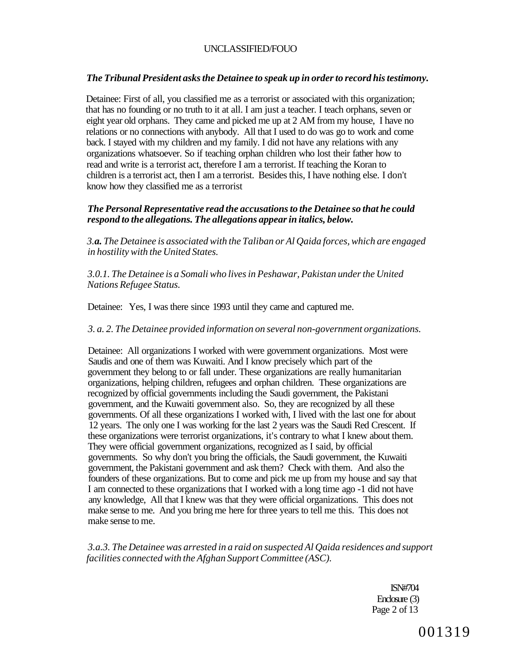## *The Tribunal President asks the Detainee to speak up in order to record his testimony.*

Detainee: First of all, you classified me as a terrorist or associated with this organization; that has no founding or no truth to it at all. I am just a teacher. I teach orphans, seven or eight year old orphans. They came and picked me up at 2 AM from my house, I have no relations or no connections with anybody. All that I used to do was go to work and come back. I stayed with my children and my family. I did not have any relations with any organizations whatsoever. So if teaching orphan children who lost their father how to read and write is a terrorist act, therefore I am a terrorist. If teaching the Koran to children is a terrorist act, then I am a terrorist. Besides this, I have nothing else. I don't know how they classified me as a terrorist

## *The Personal Representative read the accusations to the Detainee so that he could respond to the allegations. The allegations appear in italics, below.*

*3.a. The Detainee is associated with the Taliban or Al Qaida forces, which are engaged in hostility with the United States.* 

*3.0.1. The Detainee is a Somali who lives in Peshawar, Pakistan under the United Nations Refugee Status.* 

Detainee: Yes, I was there since 1993 until they came and captured me.

### *3. a. 2. The Detainee provided information on several non-government organizations.*

Detainee: All organizations I worked with were government organizations. Most were Saudis and one of them was Kuwaiti. And I know precisely which part of the government they belong to or fall under. These organizations are really humanitarian organizations, helping children, refugees and orphan children. These organizations are recognized by official governments including the Saudi government, the Pakistani government, and the Kuwaiti government also. So, they are recognized by all these governments. Of all these organizations I worked with, I lived with the last one for about 12 years. The only one I was working for the last 2 years was the Saudi Red Crescent. If these organizations were terrorist organizations, it's contrary to what I knew about them. They were official government organizations, recognized as I said, by official governments. So why don't you bring the officials, the Saudi government, the Kuwaiti government, the Pakistani government and ask them? Check with them. And also the founders of these organizations. But to come and pick me up from my house and say that I am connected to these organizations that I worked with a long time ago -1 did not have any knowledge, All that I knew was that they were official organizations. This does not make sense to me. And you bring me here for three years to tell me this. This does not make sense to me.

*3.a.3. The Detainee was arrested in a raid on suspected Al Qaida residences and support facilities connected with the Afghan Support Committee (ASC).* 

> ISN#704 Enclosure (3) Page 2 of 13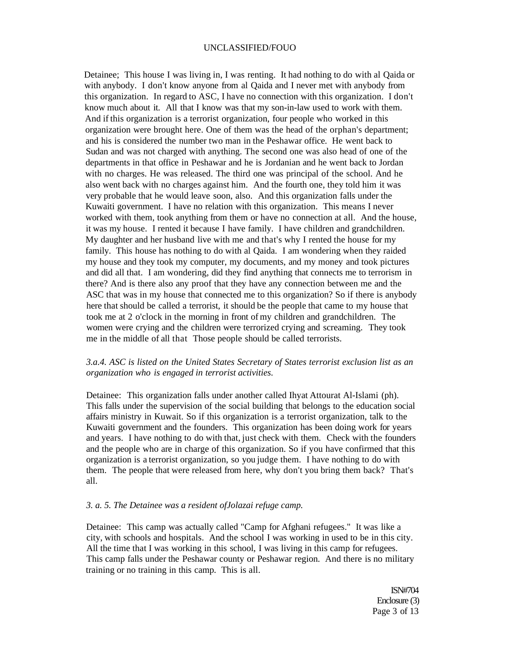Detainee; This house I was living in, I was renting. It had nothing to do with al Qaida or with anybody. I don't know anyone from al Qaida and I never met with anybody from this organization. In regard to ASC, I have no connection with this organization. I don't know much about it. All that I know was that my son-in-law used to work with them. And if this organization is a terrorist organization, four people who worked in this organization were brought here. One of them was the head of the orphan's department; and his is considered the number two man in the Peshawar office. He went back to Sudan and was not charged with anything. The second one was also head of one of the departments in that office in Peshawar and he is Jordanian and he went back to Jordan with no charges. He was released. The third one was principal of the school. And he also went back with no charges against him. And the fourth one, they told him it was very probable that he would leave soon, also. And this organization falls under the Kuwaiti government. I have no relation with this organization. This means I never worked with them, took anything from them or have no connection at all. And the house, it was my house. I rented it because I have family. I have children and grandchildren. My daughter and her husband live with me and that's why I rented the house for my family. This house has nothing to do with al Qaida. I am wondering when they raided my house and they took my computer, my documents, and my money and took pictures and did all that. I am wondering, did they find anything that connects me to terrorism in there? And is there also any proof that they have any connection between me and the ASC that was in my house that connected me to this organization? So if there is anybody here that should be called a terrorist, it should be the people that came to my house that took me at 2 o'clock in the morning in front of my children and grandchildren. The women were crying and the children were terrorized crying and screaming. They took me in the middle of all that Those people should be called terrorists.

### *3.a.4. ASC is listed on the United States Secretary of States terrorist exclusion list as an organization who is engaged in terrorist activities.*

Detainee: This organization falls under another called Ihyat Attourat Al-Islami (ph). This falls under the supervision of the social building that belongs to the education social affairs ministry in Kuwait. So if this organization is a terrorist organization, talk to the Kuwaiti government and the founders. This organization has been doing work for years and years. I have nothing to do with that, just check with them. Check with the founders and the people who are in charge of this organization. So if you have confirmed that this organization is a terrorist organization, so you judge them. I have nothing to do with them. The people that were released from here, why don't you bring them back? That's all.

#### *3. a. 5. The Detainee was a resident ofJolazai refuge camp.*

Detainee: This camp was actually called "Camp for Afghani refugees." It was like a city, with schools and hospitals. And the school I was working in used to be in this city. All the time that I was working in this school, I was living in this camp for refugees. This camp falls under the Peshawar county or Peshawar region. And there is no military training or no training in this camp. This is all.

> ISN#704 Enclosure (3) Page 3 of 13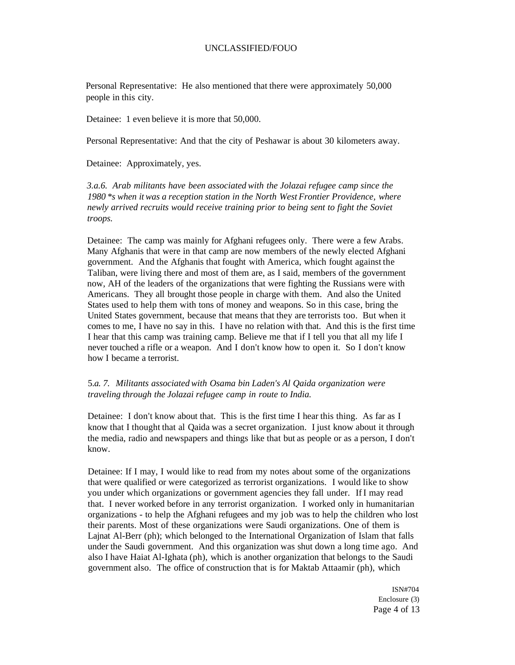Personal Representative: He also mentioned that there were approximately 50,000 people in this city.

Detainee: 1 even believe it is more that 50,000.

Personal Representative: And that the city of Peshawar is about 30 kilometers away.

Detainee: Approximately, yes.

*3.a.6. Arab militants have been associated with the Jolazai refugee camp since the 1980 \*s when it was a reception station in the North West Frontier Providence, where newly arrived recruits would receive training prior to being sent to fight the Soviet troops.* 

Detainee: The camp was mainly for Afghani refugees only. There were a few Arabs. Many Afghanis that were in that camp are now members of the newly elected Afghani government. And the Afghanis that fought with America, which fought against the Taliban, were living there and most of them are, as I said, members of the government now, AH of the leaders of the organizations that were fighting the Russians were with Americans. They all brought those people in charge with them. And also the United States used to help them with tons of money and weapons. So in this case, bring the United States government, because that means that they are terrorists too. But when it comes to me, I have no say in this. I have no relation with that. And this is the first time I hear that this camp was training camp. Believe me that if I tell you that all my life I never touched a rifle or a weapon. And I don't know how to open it. So I don't know how I became a terrorist.

## 5.*a. 7. Militants associated with Osama bin Laden's Al Qaida organization were traveling through the Jolazai refugee camp in route to India.*

Detainee: I don't know about that. This is the first time I hear this thing. As far as I know that I thought that al Qaida was a secret organization. I just know about it through the media, radio and newspapers and things like that but as people or as a person, I don't know.

Detainee: If I may, I would like to read from my notes about some of the organizations that were qualified or were categorized as terrorist organizations. I would like to show you under which organizations or government agencies they fall under. If I may read that. I never worked before in any terrorist organization. I worked only in humanitarian organizations - to help the Afghani refugees and my job was to help the children who lost their parents. Most of these organizations were Saudi organizations. One of them is Lajnat Al-Berr (ph); which belonged to the International Organization of Islam that falls under the Saudi government. And this organization was shut down a long time ago. And also I have Haiat Al-Ighata (ph), which is another organization that belongs to the Saudi government also. The office of construction that is for Maktab Attaamir (ph), which

> ISN#704 Enclosure (3) Page 4 of 13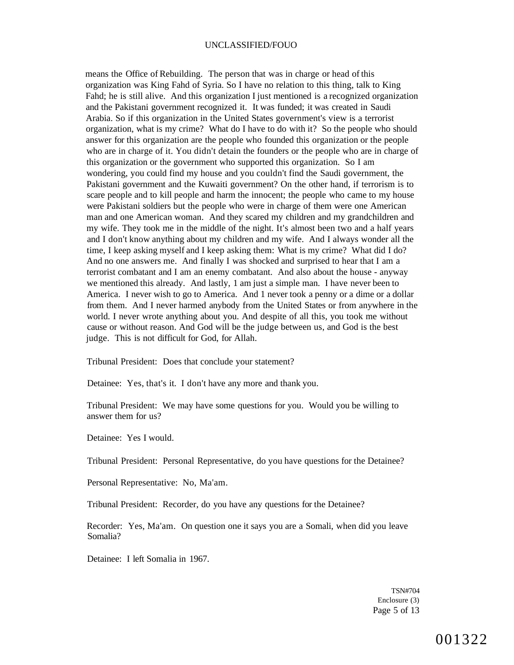means the Office of Rebuilding. The person that was in charge or head of this organization was King Fahd of Syria. So I have no relation to this thing, talk to King Fahd; he is still alive. And this organization I just mentioned is a recognized organization and the Pakistani government recognized it. It was funded; it was created in Saudi Arabia. So if this organization in the United States government's view is a terrorist organization, what is my crime? What do I have to do with it? So the people who should answer for this organization are the people who founded this organization or the people who are in charge of it. You didn't detain the founders or the people who are in charge of this organization or the government who supported this organization. So I am wondering, you could find my house and you couldn't find the Saudi government, the Pakistani government and the Kuwaiti government? On the other hand, if terrorism is to scare people and to kill people and harm the innocent; the people who came to my house were Pakistani soldiers but the people who were in charge of them were one American man and one American woman. And they scared my children and my grandchildren and my wife. They took me in the middle of the night. It's almost been two and a half years and I don't know anything about my children and my wife. And I always wonder all the time, I keep asking myself and I keep asking them: What is my crime? What did I do? And no one answers me. And finally I was shocked and surprised to hear that I am a terrorist combatant and I am an enemy combatant. And also about the house - anyway we mentioned this already. And lastly, 1 am just a simple man. I have never been to America. I never wish to go to America. And 1 never took a penny or a dime or a dollar from them. And I never harmed anybody from the United States or from anywhere in the world. I never wrote anything about you. And despite of all this, you took me without cause or without reason. And God will be the judge between us, and God is the best judge. This is not difficult for God, for Allah.

Tribunal President: Does that conclude your statement?

Detainee: Yes, that's it. I don't have any more and thank you.

Tribunal President: We may have some questions for you. Would you be willing to answer them for us?

Detainee: Yes I would.

Tribunal President: Personal Representative, do you have questions for the Detainee?

Personal Representative: No, Ma'am.

Tribunal President: Recorder, do you have any questions for the Detainee?

Recorder: Yes, Ma'am. On question one it says you are a Somali, when did you leave Somalia?

Detainee: I left Somalia in 1967.

TSN#704 Enclosure (3) Page 5 of 13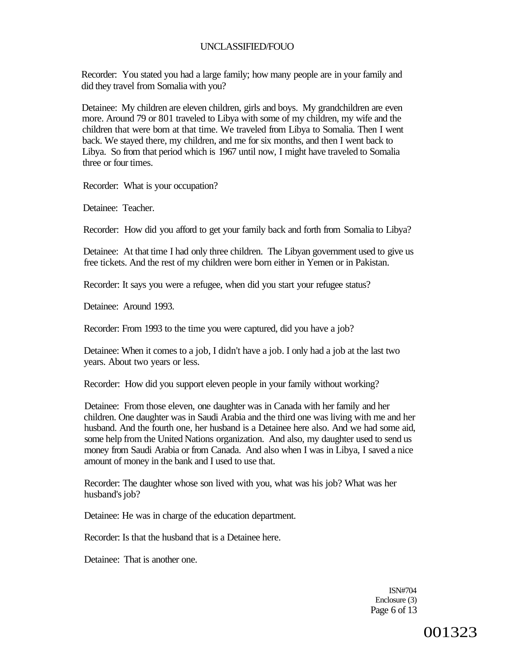Recorder: You stated you had a large family; how many people are in your family and did they travel from Somalia with you?

Detainee: My children are eleven children, girls and boys. My grandchildren are even more. Around 79 or 801 traveled to Libya with some of my children, my wife and the children that were born at that time. We traveled from Libya to Somalia. Then I went back. We stayed there, my children, and me for six months, and then I went back to Libya. So from that period which is 1967 until now, I might have traveled to Somalia three or four times.

Recorder: What is your occupation?

Detainee: Teacher.

Recorder: How did you afford to get your family back and forth from Somalia to Libya?

Detainee: At that time I had only three children. The Libyan government used to give us free tickets. And the rest of my children were born either in Yemen or in Pakistan.

Recorder: It says you were a refugee, when did you start your refugee status?

Detainee: Around 1993.

Recorder: From 1993 to the time you were captured, did you have a job?

Detainee: When it comes to a job, I didn't have a job. I only had a job at the last two years. About two years or less.

Recorder: How did you support eleven people in your family without working?

Detainee: From those eleven, one daughter was in Canada with her family and her children. One daughter was in Saudi Arabia and the third one was living with me and her husband. And the fourth one, her husband is a Detainee here also. And we had some aid, some help from the United Nations organization. And also, my daughter used to send us money from Saudi Arabia or from Canada. And also when I was in Libya, I saved a nice amount of money in the bank and I used to use that.

Recorder: The daughter whose son lived with you, what was his job? What was her husband's job?

Detainee: He was in charge of the education department.

Recorder: Is that the husband that is a Detainee here.

Detainee: That is another one.

ISN#704 Enclosure (3) Page 6 of 13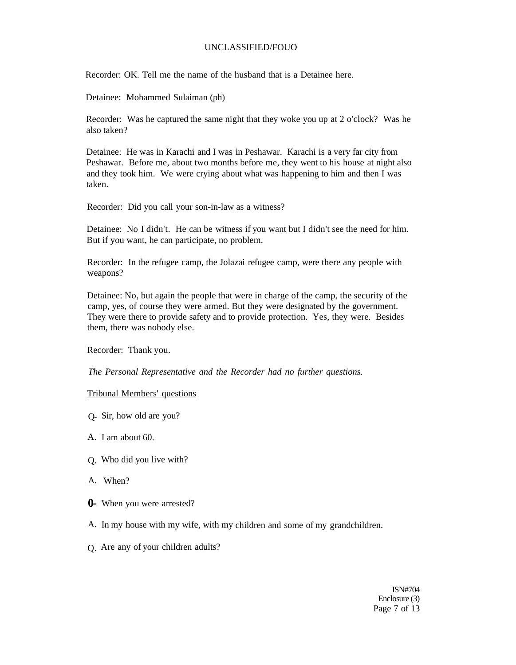Recorder: OK. Tell me the name of the husband that is a Detainee here.

Detainee: Mohammed Sulaiman (ph)

Recorder: Was he captured the same night that they woke you up at 2 o'clock? Was he also taken?

Detainee: He was in Karachi and I was in Peshawar. Karachi is a very far city from Peshawar. Before me, about two months before me, they went to his house at night also and they took him. We were crying about what was happening to him and then I was taken.

Recorder: Did you call your son-in-law as a witness?

Detainee: No I didn't. He can be witness if you want but I didn't see the need for him. But if you want, he can participate, no problem.

Recorder: In the refugee camp, the Jolazai refugee camp, were there any people with weapons?

Detainee: No, but again the people that were in charge of the camp, the security of the camp, yes, of course they were armed. But they were designated by the government. They were there to provide safety and to provide protection. Yes, they were. Besides them, there was nobody else.

Recorder: Thank you.

*The Personal Representative and the Recorder had no further questions.* 

#### Tribunal Members' questions

- Q- Sir, how old are you?
- A. I am about 60.
- Q. Who did you live with?
- A. When?
- **0-** When you were arrested?
- A. In my house with my wife, with my children and some of my grandchildren.
- Q. Are any of your children adults?

ISN#704 Enclosure (3) Page 7 of 13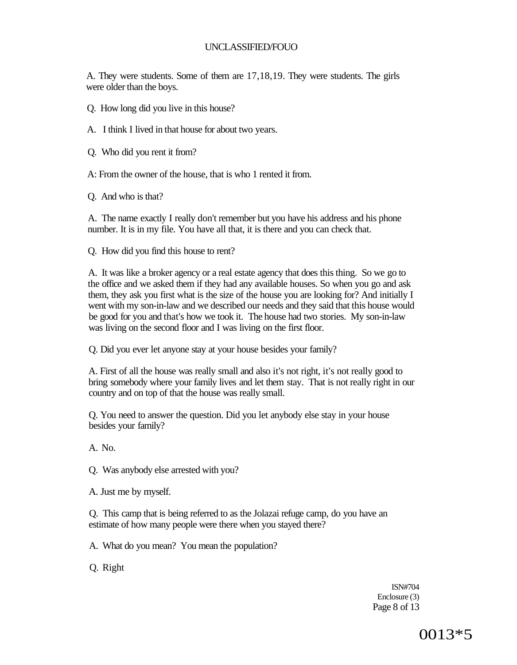A. They were students. Some of them are 17,18,19. They were students. The girls were older than the boys.

- Q. How long did you live in this house?
- A. I think I lived in that house for about two years.
- Q. Who did you rent it from?
- A: From the owner of the house, that is who 1 rented it from.

Q. And who is that?

A. The name exactly I really don't remember but you have his address and his phone number. It is in my file. You have all that, it is there and you can check that.

Q. How did you find this house to rent?

A. It was like a broker agency or a real estate agency that does this thing. So we go to the office and we asked them if they had any available houses. So when you go and ask them, they ask you first what is the size of the house you are looking for? And initially I went with my son-in-law and we described our needs and they said that this house would be good for you and that's how we took it. The house had two stories. My son-in-law was living on the second floor and I was living on the first floor.

Q. Did you ever let anyone stay at your house besides your family?

A. First of all the house was really small and also it's not right, it's not really good to bring somebody where your family lives and let them stay. That is not really right in our country and on top of that the house was really small.

Q. You need to answer the question. Did you let anybody else stay in your house besides your family?

A. No.

Q. Was anybody else arrested with you?

A. Just me by myself.

Q. This camp that is being referred to as the Jolazai refuge camp, do you have an estimate of how many people were there when you stayed there?

A. What do you mean? You mean the population?

Q. Right

ISN#704 Enclosure (3) Page 8 of 13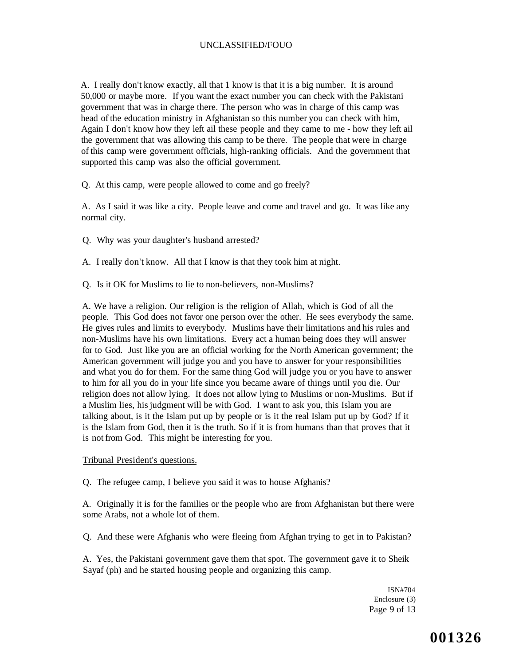A. I really don't know exactly, all that 1 know is that it is a big number. It is around 50,000 or maybe more. If you want the exact number you can check with the Pakistani government that was in charge there. The person who was in charge of this camp was head of the education ministry in Afghanistan so this number you can check with him, Again I don't know how they left ail these people and they came to me - how they left ail the government that was allowing this camp to be there. The people that were in charge of this camp were government officials, high-ranking officials. And the government that supported this camp was also the official government.

Q. At this camp, were people allowed to come and go freely?

A. As I said it was like a city. People leave and come and travel and go. It was like any normal city.

- Q. Why was your daughter's husband arrested?
- A. I really don't know. All that I know is that they took him at night.
- Q. Is it OK for Muslims to lie to non-believers, non-Muslims?

A. We have a religion. Our religion is the religion of Allah, which is God of all the people. This God does not favor one person over the other. He sees everybody the same. He gives rules and limits to everybody. Muslims have their limitations and his rules and non-Muslims have his own limitations. Every act a human being does they will answer for to God. Just like you are an official working for the North American government; the American government will judge you and you have to answer for your responsibilities and what you do for them. For the same thing God will judge you or you have to answer to him for all you do in your life since you became aware of things until you die. Our religion does not allow lying. It does not allow lying to Muslims or non-Muslims. But if a Muslim lies, his judgment will be with God. I want to ask you, this Islam you are talking about, is it the Islam put up by people or is it the real Islam put up by God? If it is the Islam from God, then it is the truth. So if it is from humans than that proves that it is not from God. This might be interesting for you.

Tribunal President's questions.

Q. The refugee camp, I believe you said it was to house Afghanis?

A. Originally it is for the families or the people who are from Afghanistan but there were some Arabs, not a whole lot of them.

Q. And these were Afghanis who were fleeing from Afghan trying to get in to Pakistan?

A. Yes, the Pakistani government gave them that spot. The government gave it to Sheik Sayaf (ph) and he started housing people and organizing this camp.

> ISN#704 Enclosure (3) Page 9 of 13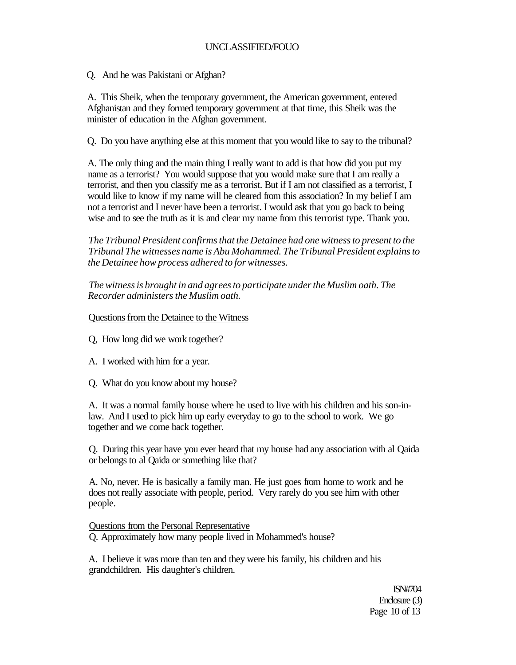Q. And he was Pakistani or Afghan?

A. This Sheik, when the temporary government, the American government, entered Afghanistan and they formed temporary government at that time, this Sheik was the minister of education in the Afghan government.

Q. Do you have anything else at this moment that you would like to say to the tribunal?

A. The only thing and the main thing I really want to add is that how did you put my name as a terrorist? You would suppose that you would make sure that I am really a terrorist, and then you classify me as a terrorist. But if I am not classified as a terrorist, I would like to know if my name will he cleared from this association? In my belief I am not a terrorist and I never have been a terrorist. I would ask that you go back to being wise and to see the truth as it is and clear my name from this terrorist type. Thank you.

*The Tribunal President confirms that the Detainee had one witness to present to the Tribunal The witnesses name is Abu Mohammed. The Tribunal President explains to the Detainee how process adhered to for witnesses.* 

*The witness is brought in and agrees to participate under the Muslim oath. The Recorder administers the Muslim oath.* 

## Questions from the Detainee to the Witness

- Q, How long did we work together?
- A. I worked with him for a year.
- Q. What do you know about my house?

A. It was a normal family house where he used to live with his children and his son-inlaw. And I used to pick him up early everyday to go to the school to work. We go together and we come back together.

Q. During this year have you ever heard that my house had any association with al Qaida or belongs to al Qaida or something like that?

A. No, never. He is basically a family man. He just goes from home to work and he does not really associate with people, period. Very rarely do you see him with other people.

Questions from the Personal Representative Q. Approximately how many people lived in Mohammed's house?

A. I believe it was more than ten and they were his family, his children and his grandchildren. His daughter's children.

> ISN#704 Enclosure (3) Page 10 of 13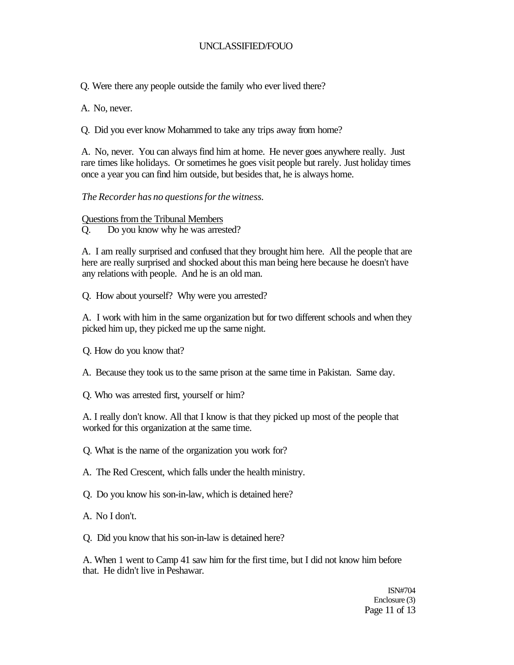Q. Were there any people outside the family who ever lived there?

A. No, never.

Q. Did you ever know Mohammed to take any trips away from home?

A. No, never. You can always find him at home. He never goes anywhere really. Just rare times like holidays. Or sometimes he goes visit people but rarely. Just holiday times once a year you can find him outside, but besides that, he is always home.

# *The Recorder has no questions for the witness.*

Questions from the Tribunal Members

Q. Do you know why he was arrested?

A. I am really surprised and confused that they brought him here. All the people that are here are really surprised and shocked about this man being here because he doesn't have any relations with people. And he is an old man.

Q. How about yourself? Why were you arrested?

A. I work with him in the same organization but for two different schools and when they picked him up, they picked me up the same night.

Q. How do you know that?

A. Because they took us to the same prison at the same time in Pakistan. Same day.

Q. Who was arrested first, yourself or him?

A. I really don't know. All that I know is that they picked up most of the people that worked for this organization at the same time.

Q. What is the name of the organization you work for?

A. The Red Crescent, which falls under the health ministry.

Q. Do you know his son-in-law, which is detained here?

A. No I don't.

Q. Did you know that his son-in-law is detained here?

A. When 1 went to Camp 41 saw him for the first time, but I did not know him before that. He didn't live in Peshawar.

> ISN#704 Enclosure (3) Page 11 of 13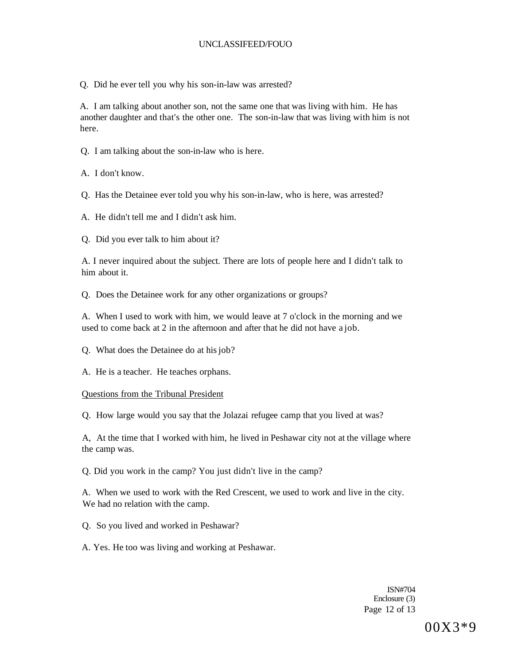Q. Did he ever tell you why his son-in-law was arrested?

A. I am talking about another son, not the same one that was living with him. He has another daughter and that's the other one. The son-in-law that was living with him is not here.

Q. I am talking about the son-in-law who is here.

A. I don't know.

Q. Has the Detainee ever told you why his son-in-law, who is here, was arrested?

A. He didn't tell me and I didn't ask him.

Q. Did you ever talk to him about it?

A. I never inquired about the subject. There are lots of people here and I didn't talk to him about it.

Q. Does the Detainee work for any other organizations or groups?

A. When I used to work with him, we would leave at 7 o'clock in the morning and we used to come back at 2 in the afternoon and after that he did not have a job.

Q. What does the Detainee do at his job?

A. He is a teacher. He teaches orphans.

Questions from the Tribunal President

Q. How large would you say that the Jolazai refugee camp that you lived at was?

A, At the time that I worked with him, he lived in Peshawar city not at the village where the camp was.

Q. Did you work in the camp? You just didn't live in the camp?

A. When we used to work with the Red Crescent, we used to work and live in the city. We had no relation with the camp.

Q. So you lived and worked in Peshawar?

A. Yes. He too was living and working at Peshawar.

ISN#704 Enclosure (3) Page 12 of 13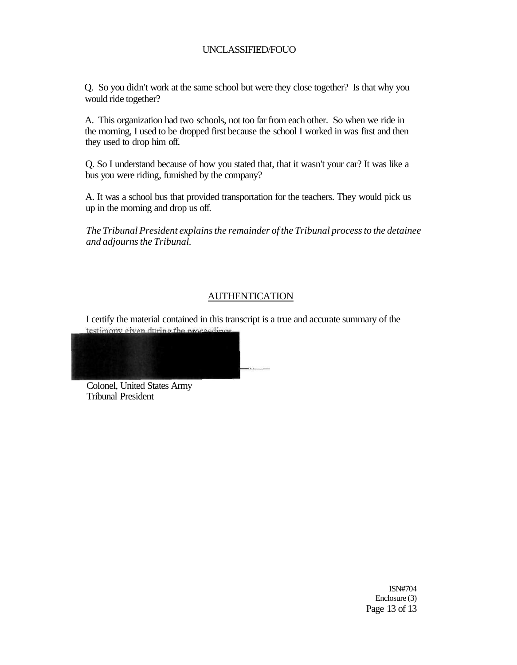Q. So you didn't work at the same school but were they close together? Is that why you would ride together?

A. This organization had two schools, not too far from each other. So when we ride in the morning, I used to be dropped first because the school I worked in was first and then they used to drop him off.

Q. So I understand because of how you stated that, that it wasn't your car? It was like a bus you were riding, furnished by the company?

A. It was a school bus that provided transportation for the teachers. They would pick us up in the morning and drop us off.

*The Tribunal President explains the remainder of the Tribunal process to the detainee and adjourns the Tribunal.* 

# AUTHENTICATION

I certify the material contained in this transcript is a true and accurate summary of the testimony given during the proceedings—



Tribunal President

ISN#704 Enclosure (3) Page 13 of 13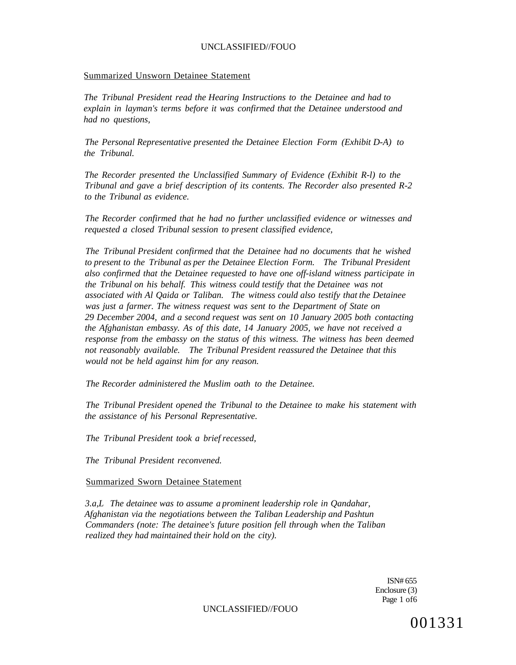### Summarized Unsworn Detainee Statement

*The Tribunal President read the Hearing Instructions to the Detainee and had to explain in layman's terms before it was confirmed that the Detainee understood and had no questions,* 

*The Personal Representative presented the Detainee Election Form (Exhibit D-A) to the Tribunal.* 

*The Recorder presented the Unclassified Summary of Evidence (Exhibit R-l) to the Tribunal and gave a brief description of its contents. The Recorder also presented R-2 to the Tribunal as evidence.* 

*The Recorder confirmed that he had no further unclassified evidence or witnesses and requested a closed Tribunal session to present classified evidence,* 

*The Tribunal President confirmed that the Detainee had no documents that he wished to present to the Tribunal as per the Detainee Election Form. The Tribunal President also confirmed that the Detainee requested to have one off-island witness participate in the Tribunal on his behalf. This witness could testify that the Detainee was not associated with Al Qaida or Taliban. The witness could also testify that the Detainee was just a farmer. The witness request was sent to the Department of State on 29 December 2004, and a second request was sent on 10 January 2005 both contacting the Afghanistan embassy. As of this date, 14 January 2005, we have not received a response from the embassy on the status of this witness. The witness has been deemed not reasonably available. The Tribunal President reassured the Detainee that this would not be held against him for any reason.* 

*The Recorder administered the Muslim oath to the Detainee.* 

*The Tribunal President opened the Tribunal to the Detainee to make his statement with the assistance of his Personal Representative.* 

*The Tribunal President took a brief recessed,* 

*The Tribunal President reconvened.* 

#### Summarized Sworn Detainee Statement

*3.a,L The detainee was to assume a prominent leadership role in Qandahar, Afghanistan via the negotiations between the Taliban Leadership and Pashtun Commanders (note: The detainee's future position fell through when the Taliban realized they had maintained their hold on the city).* 

> ISN# 655 Enclosure (3) Page 1 of6

UNCLASSIFIED//FOUO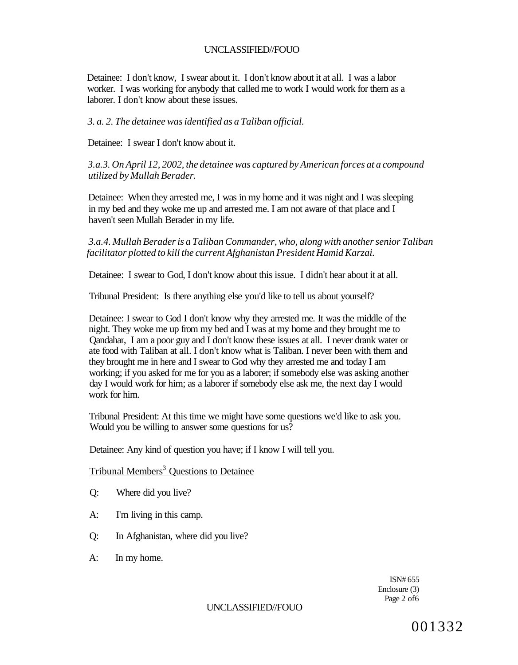Detainee: I don't know, I swear about it. I don't know about it at all. I was a labor worker. I was working for anybody that called me to work I would work for them as a laborer. I don't know about these issues.

### *3. a. 2. The detainee was identified as a Taliban official.*

Detainee: I swear I don't know about it.

*3.a.3. On April 12, 2002, the detainee was captured by American forces at a compound utilized by Mullah Berader.* 

Detainee: When they arrested me, I was in my home and it was night and I was sleeping in my bed and they woke me up and arrested me. I am not aware of that place and I haven't seen Mullah Berader in my life.

*3.a.4. Mullah Berader is a Taliban Commander, who, along with another senior Taliban facilitator plotted to kill the current Afghanistan President Hamid Karzai.* 

Detainee: I swear to God, I don't know about this issue. I didn't hear about it at all.

Tribunal President: Is there anything else you'd like to tell us about yourself?

Detainee: I swear to God I don't know why they arrested me. It was the middle of the night. They woke me up from my bed and I was at my home and they brought me to Qandahar, I am a poor guy and I don't know these issues at all. I never drank water or ate food with Taliban at all. I don't know what is Taliban. I never been with them and they brought me in here and I swear to God why they arrested me and today I am working; if you asked for me for you as a laborer; if somebody else was asking another day I would work for him; as a laborer if somebody else ask me, the next day I would work for him.

Tribunal President: At this time we might have some questions we'd like to ask you. Would you be willing to answer some questions for us?

Detainee: Any kind of question you have; if I know I will tell you.

**Tribunal Members<sup>3</sup> Questions to Detainee** 

- Q: Where did you live?
- A: I'm living in this camp.
- Q: In Afghanistan, where did you live?
- A: In my home.

ISN# 655 Enclosure (3) Page 2 of6

#### UNCLASSIFIED//FOUO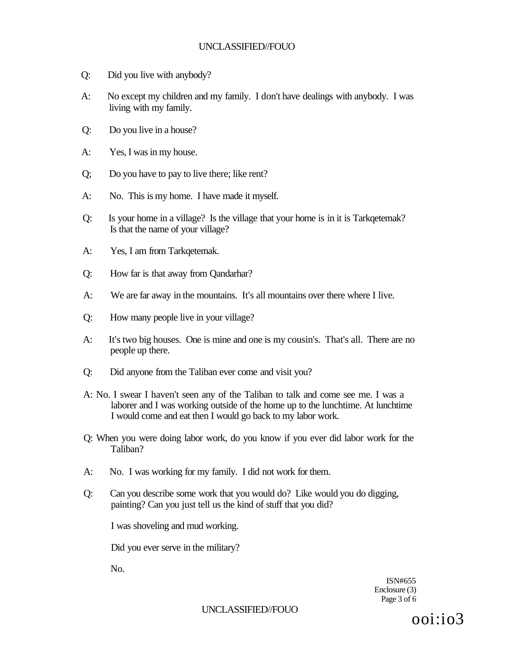- Q: Did you live with anybody?
- A: No except my children and my family. I don't have dealings with anybody. I was living with my family.
- Q: Do you live in a house?
- A: Yes, I was in my house.
- Q; Do you have to pay to live there; like rent?
- A: No. This is my home. I have made it myself.
- Q: Is your home in a village? Is the village that your home is in it is Tarkqetemak? Is that the name of your village?
- A: Yes, I am from Tarkqetemak.
- Q: How far is that away from Qandarhar?
- A: We are far away in the mountains. It's all mountains over there where I live.
- Q: How many people live in your village?
- A: It's two big houses. One is mine and one is my cousin's. That's all. There are no people up there.
- Q: Did anyone from the Taliban ever come and visit you?
- A: No. I swear I haven't seen any of the Taliban to talk and come see me. I was a laborer and I was working outside of the home up to the lunchtime. At lunchtime I would come and eat then I would go back to my labor work.
- Q: When you were doing labor work, do you know if you ever did labor work for the Taliban?
- A: No. I was working for my family. I did not work for them.
- Q: Can you describe some work that you would do? Like would you do digging, painting? Can you just tell us the kind of stuff that you did?

I was shoveling and mud working.

Did you ever serve in the military?

No.

ISN#655 Enclosure (3) Page 3 of 6

UNCLASSIFIED//FOUO

ooi:io3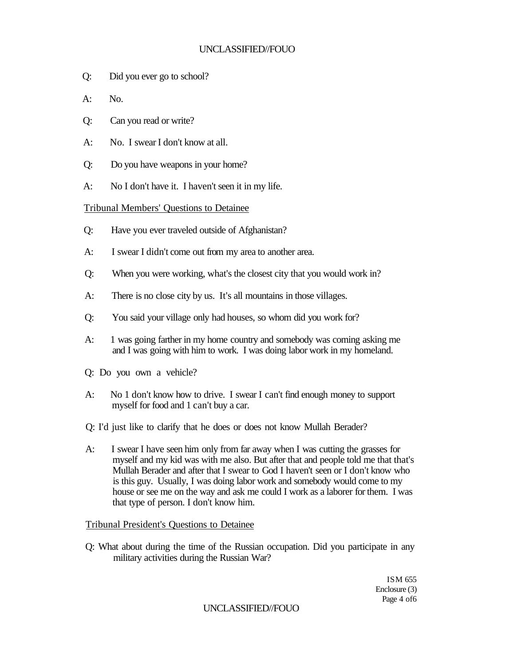- Q: Did you ever go to school?
- $A:$  No.
- Q: Can you read or write?
- A: No. I swear I don't know at all.
- Q: Do you have weapons in your home?
- A: No I don't have it. I haven't seen it in my life.

# Tribunal Members' Questions to Detainee

- Q: Have you ever traveled outside of Afghanistan?
- A: I swear I didn't come out from my area to another area.
- Q: When you were working, what's the closest city that you would work in?
- A: There is no close city by us. It's all mountains in those villages.
- Q: You said your village only had houses, so whom did you work for?
- A: 1 was going farther in my home country and somebody was coming asking me and I was going with him to work. I was doing labor work in my homeland.
- Q: Do you own a vehicle?
- A: No 1 don't know how to drive. I swear I can't find enough money to support myself for food and 1 can't buy a car.
- Q: I'd just like to clarify that he does or does not know Mullah Berader?
- A: I swear I have seen him only from far away when I was cutting the grasses for myself and my kid was with me also. But after that and people told me that that's Mullah Berader and after that I swear to God I haven't seen or I don't know who is this guy. Usually, I was doing labor work and somebody would come to my house or see me on the way and ask me could I work as a laborer for them. I was that type of person. I don't know him.

# Tribunal President's Questions to Detainee

Q: What about during the time of the Russian occupation. Did you participate in any military activities during the Russian War?

> ISM 655 Enclosure (3) Page 4 of6

## UNCLASSIFIED//FOUO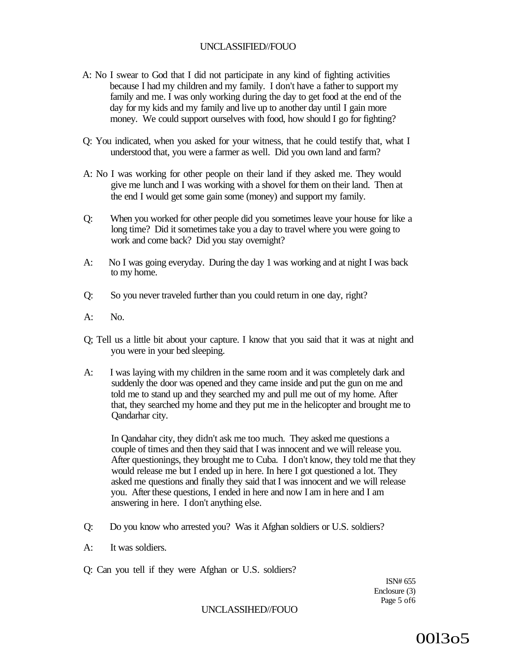- A: No I swear to God that I did not participate in any kind of fighting activities because I had my children and my family. I don't have a father to support my family and me. I was only working during the day to get food at the end of the day for my kids and my family and live up to another day until I gain more money. We could support ourselves with food, how should I go for fighting?
- Q: You indicated, when you asked for your witness, that he could testify that, what I understood that, you were a farmer as well. Did you own land and farm?
- A: No I was working for other people on their land if they asked me. They would give me lunch and I was working with a shovel for them on their land. Then at the end I would get some gain some (money) and support my family.
- Q: When you worked for other people did you sometimes leave your house for like a long time? Did it sometimes take you a day to travel where you were going to work and come back? Did you stay overnight?
- A: No I was going everyday. During the day 1 was working and at night I was back to my home.
- Q: So you never traveled further than you could return in one day, right?
- A: No.
- Q; Tell us a little bit about your capture. I know that you said that it was at night and you were in your bed sleeping.
- A: I was laying with my children in the same room and it was completely dark and suddenly the door was opened and they came inside and put the gun on me and told me to stand up and they searched my and pull me out of my home. After that, they searched my home and they put me in the helicopter and brought me to Qandarhar city.

In Qandahar city, they didn't ask me too much. They asked me questions a couple of times and then they said that I was innocent and we will release you. After questionings, they brought me to Cuba. I don't know, they told me that they would release me but I ended up in here. In here I got questioned a lot. They asked me questions and finally they said that I was innocent and we will release you. After these questions, I ended in here and now I am in here and I am answering in here. I don't anything else.

- Q: Do you know who arrested you? Was it Afghan soldiers or U.S. soldiers?
- A: It was soldiers.
- Q: Can you tell if they were Afghan or U.S. soldiers?

ISN# 655 Enclosure (3) Page 5 of6

### UNCLASSIHED//FOUO

00l3o5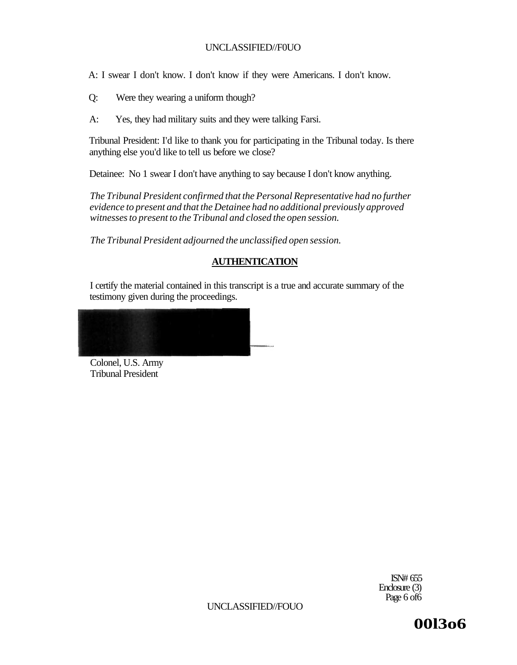A: I swear I don't know. I don't know if they were Americans. I don't know.

- Q: Were they wearing a uniform though?
- A: Yes, they had military suits and they were talking Farsi.

Tribunal President: I'd like to thank you for participating in the Tribunal today. Is there anything else you'd like to tell us before we close?

Detainee: No 1 swear I don't have anything to say because I don't know anything.

*The Tribunal President confirmed that the Personal Representative had no further evidence to present and that the Detainee had no additional previously approved witnesses to present to the Tribunal and closed the open session.* 

*The Tribunal President adjourned the unclassified open session.* 

# **AUTHENTICATION**

I certify the material contained in this transcript is a true and accurate summary of the testimony given during the proceedings.

Colonel, U.S. Army Tribunal President

> ISN# 655 Enclosure (3) Page 6 of 6

UNCLASSIFIED//FOUO

**00l3o6**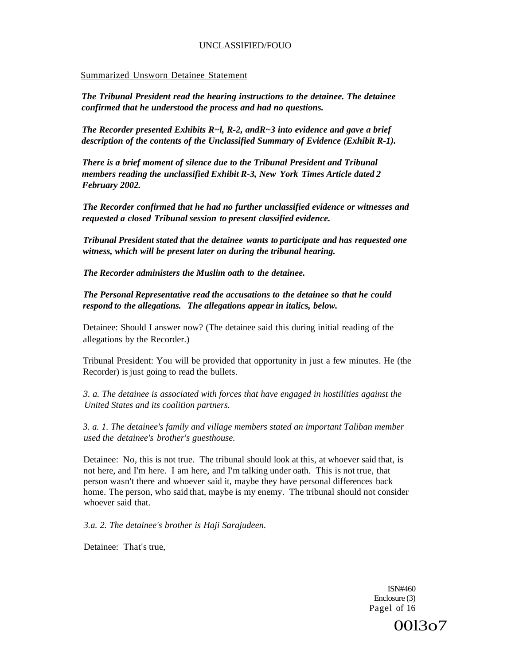### Summarized Unsworn Detainee Statement

*The Tribunal President read the hearing instructions to the detainee. The detainee confirmed that he understood the process and had no questions.* 

*The Recorder presented Exhibits R~l, R-2, andR~3 into evidence and gave a brief description of the contents of the Unclassified Summary of Evidence (Exhibit R-1).* 

*There is a brief moment of silence due to the Tribunal President and Tribunal members reading the unclassified Exhibit R-3, New York Times Article dated 2 February 2002.* 

*The Recorder confirmed that he had no further unclassified evidence or witnesses and requested a closed Tribunal session to present classified evidence.* 

*Tribunal President stated that the detainee wants to participate and has requested one witness, which will be present later on during the tribunal hearing.* 

*The Recorder administers the Muslim oath to the detainee.* 

*The Personal Representative read the accusations to the detainee so that he could respond to the allegations. The allegations appear in italics, below.* 

Detainee: Should I answer now? (The detainee said this during initial reading of the allegations by the Recorder.)

Tribunal President: You will be provided that opportunity in just a few minutes. He (the Recorder) is just going to read the bullets.

*3. a. The detainee is associated with forces that have engaged in hostilities against the United States and its coalition partners.* 

*3. a. 1. The detainee's family and village members stated an important Taliban member used the detainee's brother's guesthouse.* 

Detainee: No, this is not true. The tribunal should look at this, at whoever said that, is not here, and I'm here. I am here, and I'm talking under oath. This is not true, that person wasn't there and whoever said it, maybe they have personal differences back home. The person, who said that, maybe is my enemy. The tribunal should not consider whoever said that.

*3.a. 2. The detainee's brother is Haji Sarajudeen.* 

Detainee: That's true,

ISN#460 Enclosure (3) Pagel of 16

00l3o7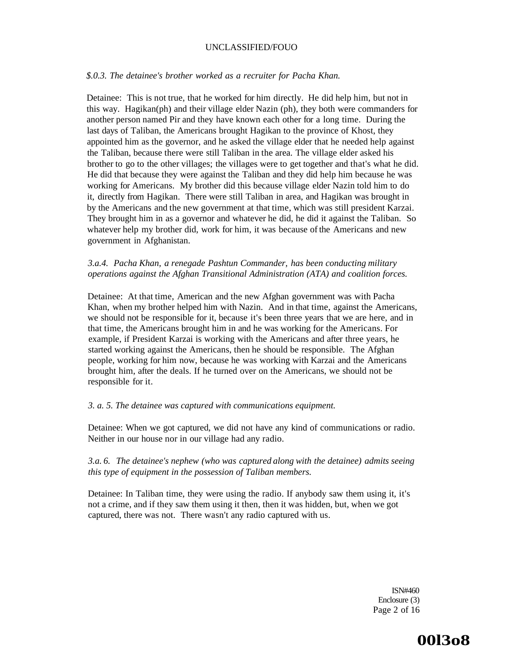### *\$.0.3. The detainee's brother worked as a recruiter for Pacha Khan.*

Detainee: This is not true, that he worked for him directly. He did help him, but not in this way. Hagikan(ph) and their village elder Nazin (ph), they both were commanders for another person named Pir and they have known each other for a long time. During the last days of Taliban, the Americans brought Hagikan to the province of Khost, they appointed him as the governor, and he asked the village elder that he needed help against the Taliban, because there were still Taliban in the area. The village elder asked his brother to go to the other villages; the villages were to get together and that's what he did. He did that because they were against the Taliban and they did help him because he was working for Americans. My brother did this because village elder Nazin told him to do it, directly from Hagikan. There were still Taliban in area, and Hagikan was brought in by the Americans and the new government at that time, which was still president Karzai. They brought him in as a governor and whatever he did, he did it against the Taliban. So whatever help my brother did, work for him, it was because of the Americans and new government in Afghanistan.

## *3.a.4. Pacha Khan, a renegade Pashtun Commander, has been conducting military operations against the Afghan Transitional Administration (ATA) and coalition forces.*

Detainee: At that time, American and the new Afghan government was with Pacha Khan, when my brother helped him with Nazin. And in that time, against the Americans, we should not be responsible for it, because it's been three years that we are here, and in that time, the Americans brought him in and he was working for the Americans. For example, if President Karzai is working with the Americans and after three years, he started working against the Americans, then he should be responsible. The Afghan people, working for him now, because he was working with Karzai and the Americans brought him, after the deals. If he turned over on the Americans, we should not be responsible for it.

#### *3. a. 5. The detainee was captured with communications equipment.*

Detainee: When we got captured, we did not have any kind of communications or radio. Neither in our house nor in our village had any radio.

# *3.a. 6. The detainee's nephew (who was captured along with the detainee) admits seeing this type of equipment in the possession of Taliban members.*

Detainee: In Taliban time, they were using the radio. If anybody saw them using it, it's not a crime, and if they saw them using it then, then it was hidden, but, when we got captured, there was not. There wasn't any radio captured with us.

> ISN#460 Enclosure (3) Page 2 of 16

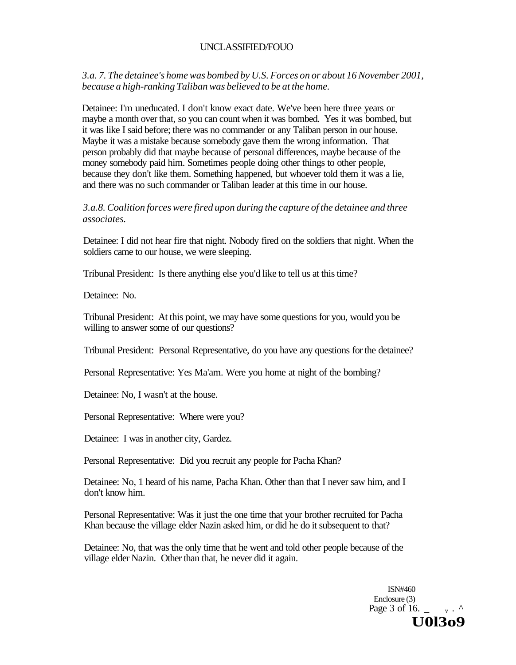*3.a. 7. The detainee's home was bombed by U.S. Forces on or about 16 November 2001, because a high-ranking Taliban was believed to be at the home.* 

Detainee: I'm uneducated. I don't know exact date. We've been here three years or maybe a month over that, so you can count when it was bombed. Yes it was bombed, but it was like I said before; there was no commander or any Taliban person in our house. Maybe it was a mistake because somebody gave them the wrong information. That person probably did that maybe because of personal differences, maybe because of the money somebody paid him. Sometimes people doing other things to other people, because they don't like them. Something happened, but whoever told them it was a lie, and there was no such commander or Taliban leader at this time in our house.

*3.a.8. Coalition forces were fired upon during the capture of the detainee and three associates.* 

Detainee: I did not hear fire that night. Nobody fired on the soldiers that night. When the soldiers came to our house, we were sleeping.

Tribunal President: Is there anything else you'd like to tell us at this time?

Detainee: No.

Tribunal President: At this point, we may have some questions for you, would you be willing to answer some of our questions?

Tribunal President: Personal Representative, do you have any questions for the detainee?

Personal Representative: Yes Ma'am. Were you home at night of the bombing?

Detainee: No, I wasn't at the house.

Personal Representative: Where were you?

Detainee: I was in another city, Gardez.

Personal Representative: Did you recruit any people for Pacha Khan?

Detainee: No, 1 heard of his name, Pacha Khan. Other than that I never saw him, and I don't know him.

Personal Representative: Was it just the one time that your brother recruited for Pacha Khan because the village elder Nazin asked him, or did he do it subsequent to that?

Detainee: No, that was the only time that he went and told other people because of the village elder Nazin. Other than that, he never did it again.

> ISN#460 Enclosure (3) Page  $3$  of 16. **U0l3o9**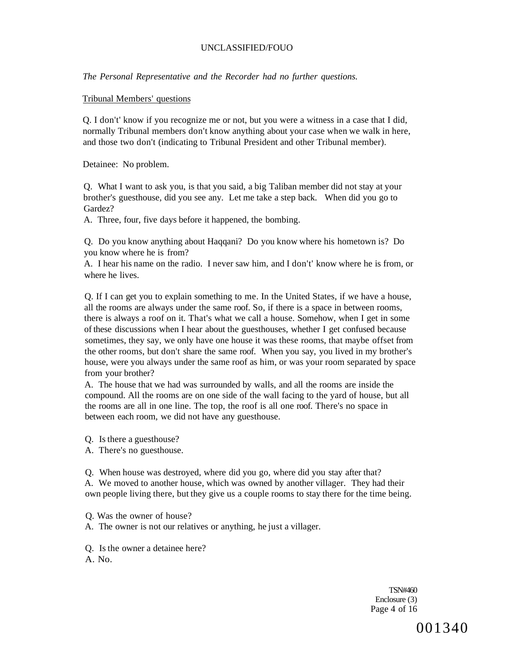*The Personal Representative and the Recorder had no further questions.* 

### Tribunal Members' questions

Q. I don't' know if you recognize me or not, but you were a witness in a case that I did, normally Tribunal members don't know anything about your case when we walk in here, and those two don't (indicating to Tribunal President and other Tribunal member).

Detainee: No problem.

Q. What I want to ask you, is that you said, a big Taliban member did not stay at your brother's guesthouse, did you see any. Let me take a step back. When did you go to Gardez?

A. Three, four, five days before it happened, the bombing.

Q. Do you know anything about Haqqani? Do you know where his hometown is? Do you know where he is from?

A. I hear his name on the radio. I never saw him, and I don't' know where he is from, or where he lives.

Q. If I can get you to explain something to me. In the United States, if we have a house, all the rooms are always under the same roof. So, if there is a space in between rooms, there is always a roof on it. That's what we call a house. Somehow, when I get in some of these discussions when I hear about the guesthouses, whether I get confused because sometimes, they say, we only have one house it was these rooms, that maybe offset from the other rooms, but don't share the same roof. When you say, you lived in my brother's house, were you always under the same roof as him, or was your room separated by space from your brother?

A. The house that we had was surrounded by walls, and all the rooms are inside the compound. All the rooms are on one side of the wall facing to the yard of house, but all the rooms are all in one line. The top, the roof is all one roof. There's no space in between each room, we did not have any guesthouse.

Q. Is there a guesthouse?

A. There's no guesthouse.

Q. When house was destroyed, where did you go, where did you stay after that? A. We moved to another house, which was owned by another villager. They had their own people living there, but they give us a couple rooms to stay there for the time being.

Q. Was the owner of house?

A. The owner is not our relatives or anything, he just a villager.

Q. Is the owner a detainee here?

A. No.

TSN#460 Enclosure (3) Page 4 of 16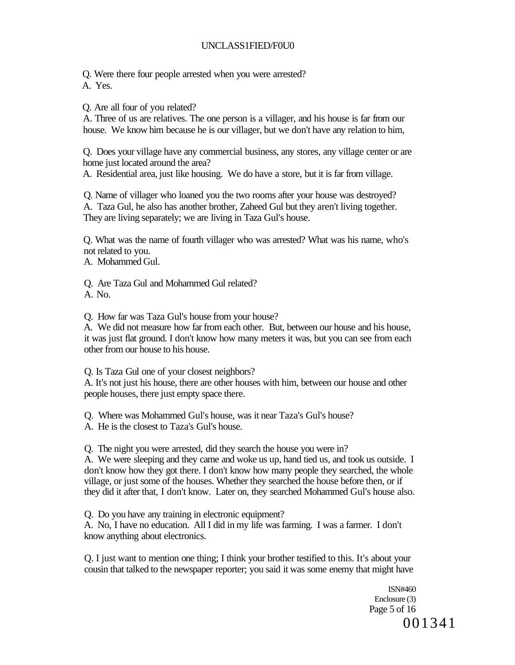# UNCLASS1FIED/F0U0

Q. Were there four people arrested when you were arrested?

A. Yes.

Q. Are all four of you related?

A. Three of us are relatives. The one person is a villager, and his house is far from our house. We know him because he is our villager, but we don't have any relation to him,

Q. Does your village have any commercial business, any stores, any village center or are home just located around the area?

A. Residential area, just like housing. We do have a store, but it is far from village.

Q. Name of villager who loaned you the two rooms after your house was destroyed? A. Taza Gul, he also has another brother, Zaheed Gul but they aren't living together. They are living separately; we are living in Taza Gul's house.

Q. What was the name of fourth villager who was arrested? What was his name, who's not related to you.

A. Mohammed Gul.

Q. Are Taza Gul and Mohammed Gul related?

A. No.

Q. How far was Taza Gul's house from your house?

A. We did not measure how far from each other. But, between our house and his house, it was just flat ground. I don't know how many meters it was, but you can see from each other from our house to his house.

Q. Is Taza Gul one of your closest neighbors?

A. It's not just his house, there are other houses with him, between our house and other people houses, there just empty space there.

Q. Where was Mohammed Gul's house, was it near Taza's Gul's house?

A. He is the closest to Taza's Gul's house.

Q. The night you were arrested, did they search the house you were in?

A. We were sleeping and they came and woke us up, hand tied us, and took us outside. I don't know how they got there. I don't know how many people they searched, the whole village, or just some of the houses. Whether they searched the house before then, or if they did it after that, I don't know. Later on, they searched Mohammed Gul's house also.

Q. Do you have any training in electronic equipment?

A. No, I have no education. All I did in my life was farming. I was a farmer. I don't know anything about electronics.

Q. I just want to mention one thing; I think your brother testified to this. It's about your cousin that talked to the newspaper reporter; you said it was some enemy that might have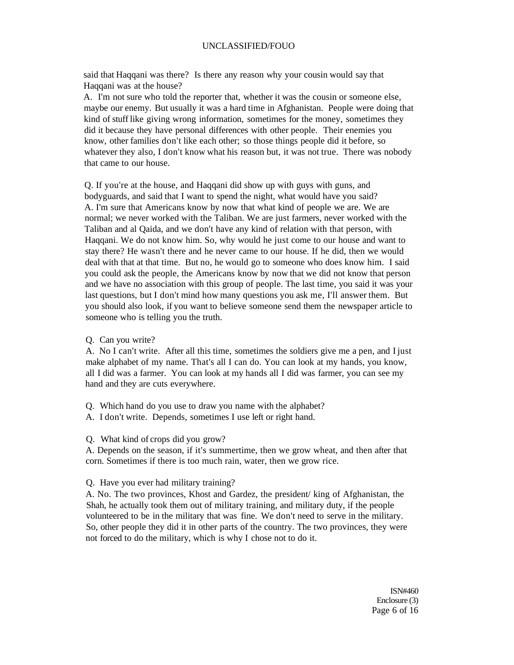said that Haqqani was there? Is there any reason why your cousin would say that Haqqani was at the house?

A. I'm not sure who told the reporter that, whether it was the cousin or someone else, maybe our enemy. But usually it was a hard time in Afghanistan. People were doing that kind of stuff like giving wrong information, sometimes for the money, sometimes they did it because they have personal differences with other people. Their enemies you know, other families don't like each other; so those things people did it before, so whatever they also, I don't know what his reason but, it was not true. There was nobody that came to our house.

Q. If you're at the house, and Haqqani did show up with guys with guns, and bodyguards, and said that I want to spend the night, what would have you said? A. I'm sure that Americans know by now that what kind of people we are. We are normal; we never worked with the Taliban. We are just farmers, never worked with the Taliban and al Qaida, and we don't have any kind of relation with that person, with Haqqani. We do not know him. So, why would he just come to our house and want to stay there? He wasn't there and he never came to our house. If he did, then we would deal with that at that time. But no, he would go to someone who does know him. I said you could ask the people, the Americans know by now that we did not know that person and we have no association with this group of people. The last time, you said it was your last questions, but I don't mind how many questions you ask me, I'll answer them. But you should also look, if you want to believe someone send them the newspaper article to someone who is telling you the truth.

Q. Can you write?

A. No I can't write. After all this time, sometimes the soldiers give me a pen, and I just make alphabet of my name. That's all I can do. You can look at my hands, you know, all I did was a farmer. You can look at my hands all I did was farmer, you can see my hand and they are cuts everywhere.

- Q. Which hand do you use to draw you name with the alphabet?
- A. I don't write. Depends, sometimes I use left or right hand.

Q. What kind of crops did you grow?

A. Depends on the season, if it's summertime, then we grow wheat, and then after that corn. Sometimes if there is too much rain, water, then we grow rice.

#### Q. Have you ever had military training?

A. No. The two provinces, Khost and Gardez, the president/ king of Afghanistan, the Shah, he actually took them out of military training, and military duty, if the people volunteered to be in the military that was fine. We don't need to serve in the military. So, other people they did it in other parts of the country. The two provinces, they were not forced to do the military, which is why I chose not to do it.

> ISN#460 Enclosure (3) Page 6 of 16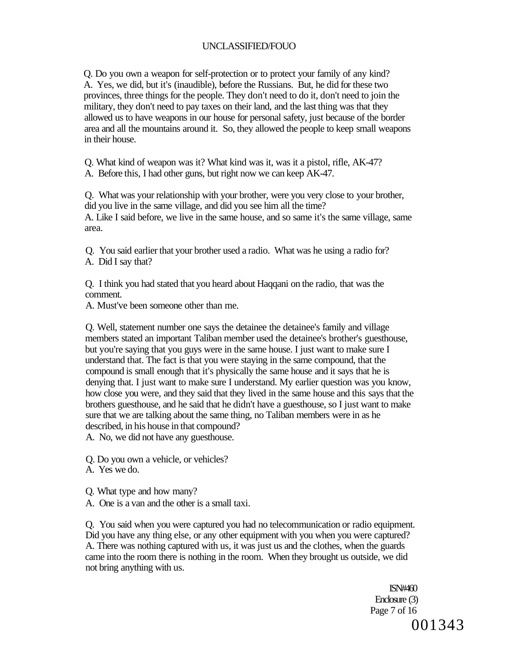Q. Do you own a weapon for self-protection or to protect your family of any kind? A. Yes, we did, but it's (inaudible), before the Russians. But, he did for these two provinces, three things for the people. They don't need to do it, don't need to join the military, they don't need to pay taxes on their land, and the last thing was that they allowed us to have weapons in our house for personal safety, just because of the border area and all the mountains around it. So, they allowed the people to keep small weapons in their house.

Q. What kind of weapon was it? What kind was it, was it a pistol, rifle, AK-47?

A. Before this, I had other guns, but right now we can keep AK-47.

Q. What was your relationship with your brother, were you very close to your brother, did you live in the same village, and did you see him all the time? A. Like I said before, we live in the same house, and so same it's the same village, same area.

Q. You said earlier that your brother used a radio. What was he using a radio for? A. Did I say that?

Q. I think you had stated that you heard about Haqqani on the radio, that was the comment.

A. Must've been someone other than me.

Q. Well, statement number one says the detainee the detainee's family and village members stated an important Taliban member used the detainee's brother's guesthouse, but you're saying that you guys were in the same house. I just want to make sure I understand that. The fact is that you were staying in the same compound, that the compound is small enough that it's physically the same house and it says that he is denying that. I just want to make sure I understand. My earlier question was you know, how close you were, and they said that they lived in the same house and this says that the brothers guesthouse, and he said that he didn't have a guesthouse, so I just want to make sure that we are talking about the same thing, no Taliban members were in as he described, in his house in that compound?

A. No, we did not have any guesthouse.

Q. Do you own a vehicle, or vehicles?

A. Yes we do.

Q. What type and how many?

A. One is a van and the other is a small taxi.

Q. You said when you were captured you had no telecommunication or radio equipment. Did you have any thing else, or any other equipment with you when you were captured? A. There was nothing captured with us, it was just us and the clothes, when the guards came into the room there is nothing in the room. When they brought us outside, we did not bring anything with us.

> ISN#460 Enclosure (3) Page 7 of 16 001343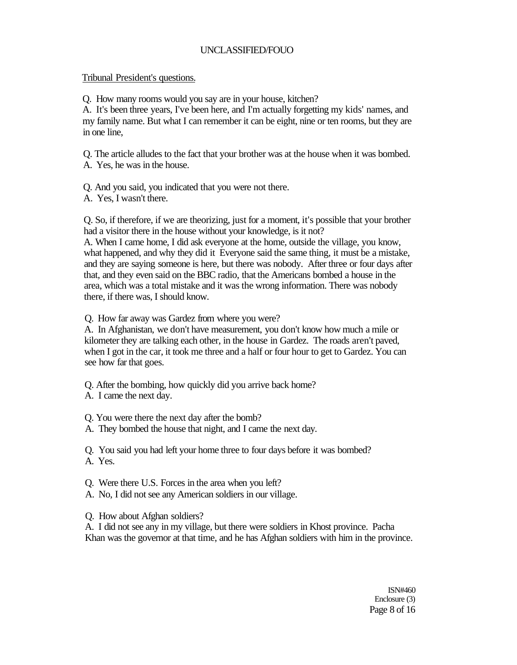# Tribunal President's questions.

Q. How many rooms would you say are in your house, kitchen?

A. It's been three years, I've been here, and I'm actually forgetting my kids' names, and my family name. But what I can remember it can be eight, nine or ten rooms, but they are in one line,

Q. The article alludes to the fact that your brother was at the house when it was bombed. A. Yes, he was in the house.

Q. And you said, you indicated that you were not there.

A. Yes, I wasn't there.

Q. So, if therefore, if we are theorizing, just for a moment, it's possible that your brother had a visitor there in the house without your knowledge, is it not?

A. When I came home, I did ask everyone at the home, outside the village, you know, what happened, and why they did it Everyone said the same thing, it must be a mistake, and they are saying someone is here, but there was nobody. After three or four days after that, and they even said on the BBC radio, that the Americans bombed a house in the area, which was a total mistake and it was the wrong information. There was nobody there, if there was, I should know.

Q. How far away was Gardez from where you were?

A. In Afghanistan, we don't have measurement, you don't know how much a mile or kilometer they are talking each other, in the house in Gardez. The roads aren't paved, when I got in the car, it took me three and a half or four hour to get to Gardez. You can see how far that goes.

Q. After the bombing, how quickly did you arrive back home?

A. I came the next day.

Q. You were there the next day after the bomb?

A. They bombed the house that night, and I came the next day.

Q. You said you had left your home three to four days before it was bombed? A. Yes.

Q. Were there U.S. Forces in the area when you left?

A. No, I did not see any American soldiers in our village.

Q. How about Afghan soldiers?

A. I did not see any in my village, but there were soldiers in Khost province. Pacha Khan was the governor at that time, and he has Afghan soldiers with him in the province.

> ISN#460 Enclosure (3) Page 8 of 16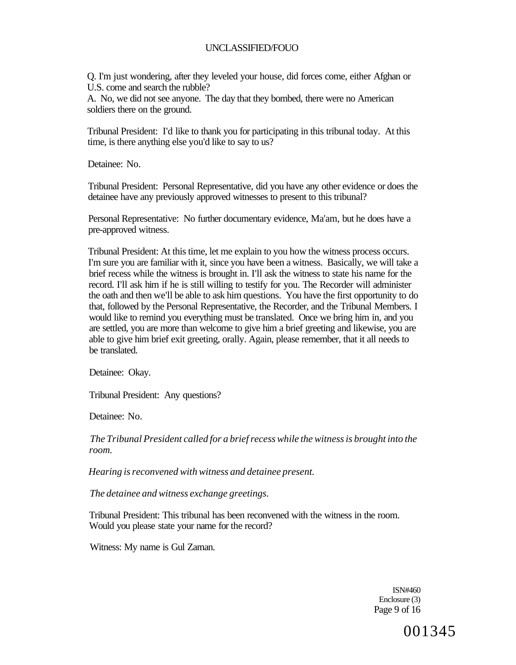Q. I'm just wondering, after they leveled your house, did forces come, either Afghan or U.S. come and search the rubble?

A. No, we did not see anyone. The day that they bombed, there were no American soldiers there on the ground.

Tribunal President: I'd like to thank you for participating in this tribunal today. At this time, is there anything else you'd like to say to us?

Detainee: No.

Tribunal President: Personal Representative, did you have any other evidence or does the detainee have any previously approved witnesses to present to this tribunal?

Personal Representative: No further documentary evidence, Ma'am, but he does have a pre-approved witness.

Tribunal President: At this time, let me explain to you how the witness process occurs. I'm sure you are familiar with it, since you have been a witness. Basically, we will take a brief recess while the witness is brought in. I'll ask the witness to state his name for the record. I'll ask him if he is still willing to testify for you. The Recorder will administer the oath and then we'll be able to ask him questions. You have the first opportunity to do that, followed by the Personal Representative, the Recorder, and the Tribunal Members. I would like to remind you everything must be translated. Once we bring him in, and you are settled, you are more than welcome to give him a brief greeting and likewise, you are able to give him brief exit greeting, orally. Again, please remember, that it all needs to be translated.

Detainee: Okay.

Tribunal President: Any questions?

Detainee: No.

*The Tribunal President called for a brief recess while the witness is brought into the room.* 

*Hearing is reconvened with witness and detainee present.* 

*The detainee and witness exchange greetings.* 

Tribunal President: This tribunal has been reconvened with the witness in the room. Would you please state your name for the record?

Witness: My name is Gul Zaman.

ISN#460 Enclosure (3) Page 9 of 16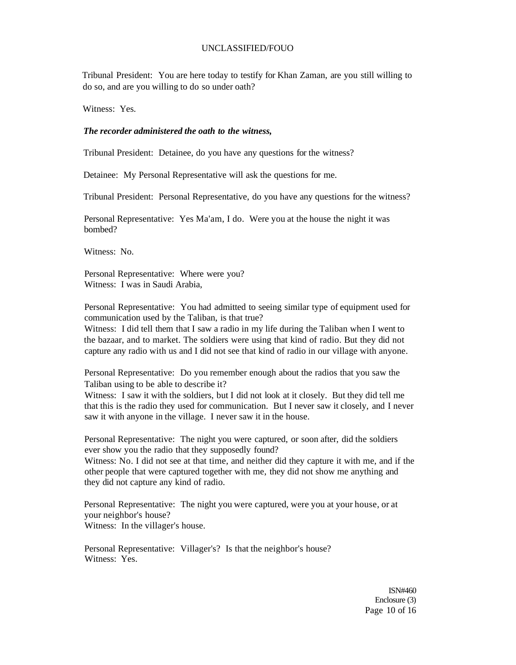Tribunal President: You are here today to testify for Khan Zaman, are you still willing to do so, and are you willing to do so under oath?

Witness: Yes.

#### *The recorder administered the oath to the witness,*

Tribunal President: Detainee, do you have any questions for the witness?

Detainee: My Personal Representative will ask the questions for me.

Tribunal President: Personal Representative, do you have any questions for the witness?

Personal Representative: Yes Ma'am, I do. Were you at the house the night it was bombed?

Witness: No.

Personal Representative: Where were you? Witness: I was in Saudi Arabia,

Personal Representative: You had admitted to seeing similar type of equipment used for communication used by the Taliban, is that true?

Witness: I did tell them that I saw a radio in my life during the Taliban when I went to the bazaar, and to market. The soldiers were using that kind of radio. But they did not capture any radio with us and I did not see that kind of radio in our village with anyone.

Personal Representative: Do you remember enough about the radios that you saw the Taliban using to be able to describe it?

Witness: I saw it with the soldiers, but I did not look at it closely. But they did tell me that this is the radio they used for communication. But I never saw it closely, and I never saw it with anyone in the village. I never saw it in the house.

Personal Representative: The night you were captured, or soon after, did the soldiers ever show you the radio that they supposedly found?

Witness: No. I did not see at that time, and neither did they capture it with me, and if the other people that were captured together with me, they did not show me anything and they did not capture any kind of radio.

Personal Representative: The night you were captured, were you at your house, or at your neighbor's house? Witness: In the villager's house.

Personal Representative: Villager's? Is that the neighbor's house? Witness: Yes.

> ISN#460 Enclosure (3) Page 10 of 16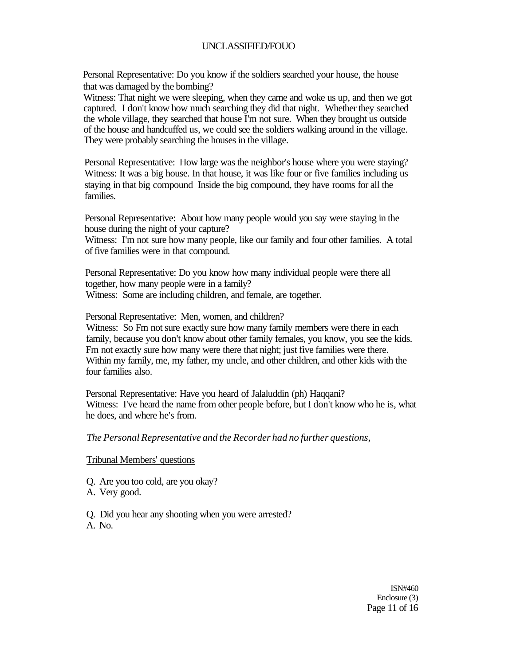Personal Representative: Do you know if the soldiers searched your house, the house that was damaged by the bombing?

Witness: That night we were sleeping, when they came and woke us up, and then we got captured. I don't know how much searching they did that night. Whether they searched the whole village, they searched that house I'm not sure. When they brought us outside of the house and handcuffed us, we could see the soldiers walking around in the village. They were probably searching the houses in the village.

Personal Representative: How large was the neighbor's house where you were staying? Witness: It was a big house. In that house, it was like four or five families including us staying in that big compound Inside the big compound, they have rooms for all the families.

Personal Representative: About how many people would you say were staying in the house during the night of your capture?

Witness: I'm not sure how many people, like our family and four other families. A total of five families were in that compound.

Personal Representative: Do you know how many individual people were there all together, how many people were in a family? Witness: Some are including children, and female, are together.

Personal Representative: Men, women, and children?

Witness: So Fm not sure exactly sure how many family members were there in each family, because you don't know about other family females, you know, you see the kids. Fm not exactly sure how many were there that night; just five families were there. Within my family, me, my father, my uncle, and other children, and other kids with the four families also.

Personal Representative: Have you heard of Jalaluddin (ph) Haqqani? Witness: I've heard the name from other people before, but I don't know who he is, what he does, and where he's from.

#### *The Personal Representative and the Recorder had no further questions,*

### Tribunal Members' questions

Q. Are you too cold, are you okay?

A. Very good.

Q. Did you hear any shooting when you were arrested? A. No.

> ISN#460 Enclosure (3) Page 11 of 16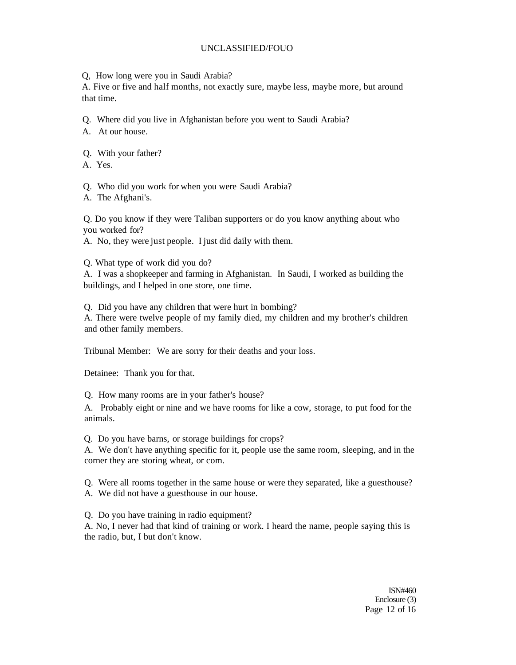Q, How long were you in Saudi Arabia?

A. Five or five and half months, not exactly sure, maybe less, maybe more, but around that time.

- Q. Where did you live in Afghanistan before you went to Saudi Arabia?
- A. At our house.
- Q. With your father?
- A. Yes.
- Q. Who did you work for when you were Saudi Arabia?
- A. The Afghani's.

Q. Do you know if they were Taliban supporters or do you know anything about who you worked for?

- A. No, they were just people. I just did daily with them.
- Q. What type of work did you do?

A. I was a shopkeeper and farming in Afghanistan. In Saudi, I worked as building the buildings, and I helped in one store, one time.

Q. Did you have any children that were hurt in bombing?

A. There were twelve people of my family died, my children and my brother's children and other family members.

Tribunal Member: We are sorry for their deaths and your loss.

Detainee: Thank you for that.

Q. How many rooms are in your father's house?

A. Probably eight or nine and we have rooms for like a cow, storage, to put food for the animals.

Q. Do you have barns, or storage buildings for crops?

A. We don't have anything specific for it, people use the same room, sleeping, and in the corner they are storing wheat, or com.

Q. Were all rooms together in the same house or were they separated, like a guesthouse? A. We did not have a guesthouse in our house.

Q. Do you have training in radio equipment?

A. No, I never had that kind of training or work. I heard the name, people saying this is the radio, but, I but don't know.

> ISN#460 Enclosure (3) Page 12 of 16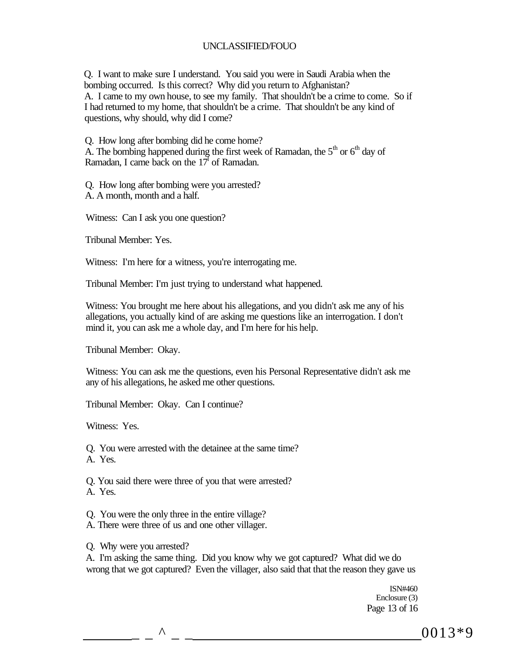Q. I want to make sure I understand. You said you were in Saudi Arabia when the bombing occurred. Is this correct? Why did you return to Afghanistan? A. I came to my own house, to see my family. That shouldn't be a crime to come. So if I had returned to my home, that shouldn't be a crime. That shouldn't be any kind of questions, why should, why did I come?

Q. How long after bombing did he come home? A. The bombing happened during the first week of Ramadan, the  $5<sup>th</sup>$  or  $6<sup>th</sup>$  day of Ramadan, I came back on the  $17<sup>1</sup>$  of Ramadan.

Q. How long after bombing were you arrested? A. A month, month and a half.

Witness: Can I ask you one question?

Tribunal Member: Yes.

Witness: I'm here for a witness, you're interrogating me.

Tribunal Member: I'm just trying to understand what happened.

Witness: You brought me here about his allegations, and you didn't ask me any of his allegations, you actually kind of are asking me questions like an interrogation. I don't mind it, you can ask me a whole day, and I'm here for his help.

Tribunal Member: Okay.

Witness: You can ask me the questions, even his Personal Representative didn't ask me any of his allegations, he asked me other questions.

Tribunal Member: Okay. Can I continue?

Witness: Yes.

Q. You were arrested with the detainee at the same time?

A. Yes.

Q. You said there were three of you that were arrested?

A. Yes.

- Q. You were the only three in the entire village?
- A. There were three of us and one other villager.

Q. Why were you arrested?

A. I'm asking the same thing. Did you know why we got captured? What did we do wrong that we got captured? Even the villager, also said that that the reason they gave us

> ISN#460 Enclosure (3) Page 13 of 16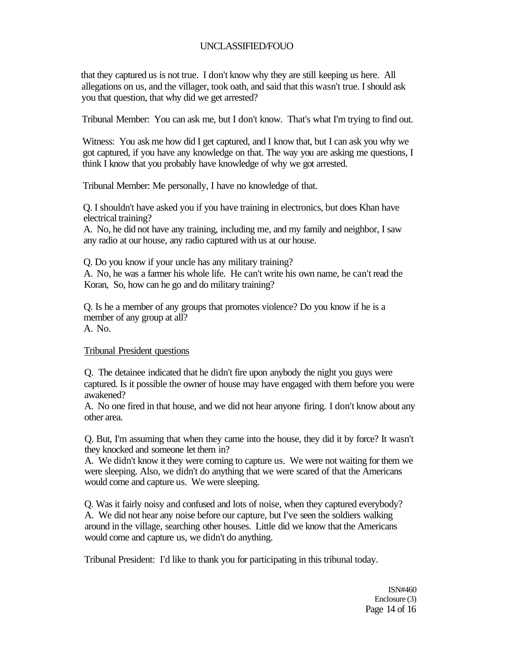that they captured us is not true. I don't know why they are still keeping us here. All allegations on us, and the villager, took oath, and said that this wasn't true. I should ask you that question, that why did we get arrested?

Tribunal Member: You can ask me, but I don't know. That's what I'm trying to find out.

Witness: You ask me how did I get captured, and I know that, but I can ask you why we got captured, if you have any knowledge on that. The way you are asking me questions, I think I know that you probably have knowledge of why we got arrested.

Tribunal Member: Me personally, I have no knowledge of that.

Q. I shouldn't have asked you if you have training in electronics, but does Khan have electrical training?

A. No, he did not have any training, including me, and my family and neighbor, I saw any radio at our house, any radio captured with us at our house.

Q. Do you know if your uncle has any military training?

A. No, he was a farmer his whole life. He can't write his own name, he can't read the Koran, So, how can he go and do military training?

Q. Is he a member of any groups that promotes violence? Do you know if he is a member of any group at all? A. No.

Tribunal President questions

Q. The detainee indicated that he didn't fire upon anybody the night you guys were captured. Is it possible the owner of house may have engaged with them before you were awakened?

A. No one fired in that house, and we did not hear anyone firing. I don't know about any other area.

Q. But, I'm assuming that when they came into the house, they did it by force? It wasn't they knocked and someone let them in?

A. We didn't know it they were coming to capture us. We were not waiting for them we were sleeping. Also, we didn't do anything that we were scared of that the Americans would come and capture us. We were sleeping.

Q. Was it fairly noisy and confused and lots of noise, when they captured everybody? A. We did not hear any noise before our capture, but I've seen the soldiers walking around in the village, searching other houses. Little did we know that the Americans would come and capture us, we didn't do anything.

Tribunal President: I'd like to thank you for participating in this tribunal today.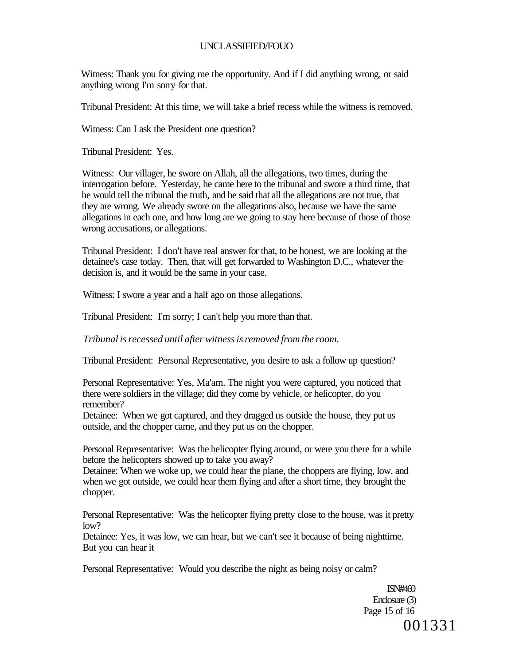Witness: Thank you for giving me the opportunity. And if I did anything wrong, or said anything wrong I'm sorry for that.

Tribunal President: At this time, we will take a brief recess while the witness is removed.

Witness: Can I ask the President one question?

Tribunal President: Yes.

Witness: Our villager, he swore on Allah, all the allegations, two times, during the interrogation before. Yesterday, he came here to the tribunal and swore a third time, that he would tell the tribunal the truth, and he said that all the allegations are not true, that they are wrong. We already swore on the allegations also, because we have the same allegations in each one, and how long are we going to stay here because of those of those wrong accusations, or allegations.

Tribunal President: I don't have real answer for that, to be honest, we are looking at the detainee's case today. Then, that will get forwarded to Washington D.C., whatever the decision is, and it would be the same in your case.

Witness: I swore a year and a half ago on those allegations.

Tribunal President: I'm sorry; I can't help you more than that.

*Tribunal is recessed until after witness is removed from the room.* 

Tribunal President: Personal Representative, you desire to ask a follow up question?

Personal Representative: Yes, Ma'am. The night you were captured, you noticed that there were soldiers in the village; did they come by vehicle, or helicopter, do you remember?

Detainee: When we got captured, and they dragged us outside the house, they put us outside, and the chopper came, and they put us on the chopper.

Personal Representative: Was the helicopter flying around, or were you there for a while before the helicopters showed up to take you away?

Detainee: When we woke up, we could hear the plane, the choppers are flying, low, and when we got outside, we could hear them flying and after a short time, they brought the chopper.

Personal Representative: Was the helicopter flying pretty close to the house, was it pretty  $low?$ 

Detainee: Yes, it was low, we can hear, but we can't see it because of being nighttime. But you can hear it

Personal Representative: Would you describe the night as being noisy or calm?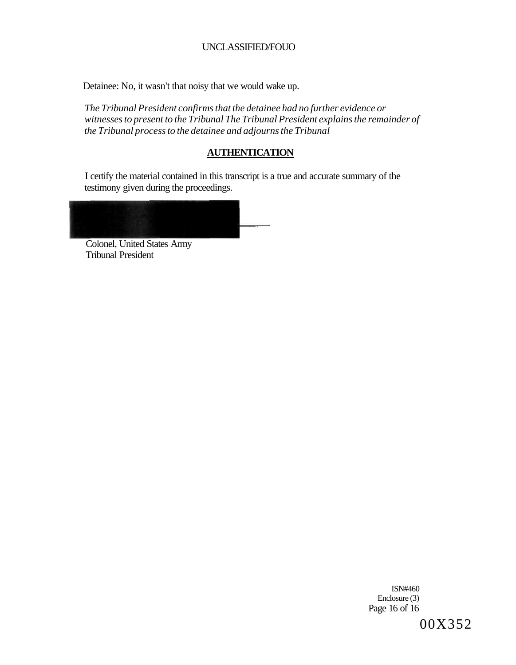Detainee: No, it wasn't that noisy that we would wake up.

*The Tribunal President confirms that the detainee had no further evidence or witnesses to present to the Tribunal The Tribunal President explains the remainder of the Tribunal process to the detainee and adjourns the Tribunal* 

# **AUTHENTICATION**

I certify the material contained in this transcript is a true and accurate summary of the testimony given during the proceedings.

Colonel, United States Army Tribunal President

> ISN#460 Enclosure (3) Page 16 of 16 00X352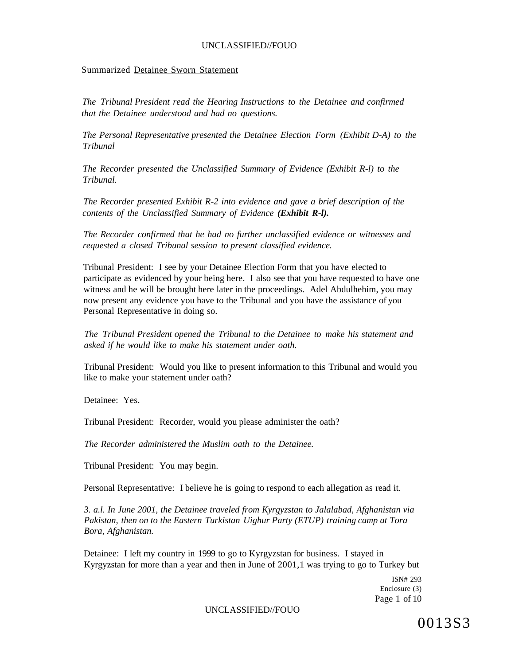#### Summarized Detainee Sworn Statement

*The Tribunal President read the Hearing Instructions to the Detainee and confirmed that the Detainee understood and had no questions.* 

*The Personal Representative presented the Detainee Election Form (Exhibit D-A) to the Tribunal* 

*The Recorder presented the Unclassified Summary of Evidence (Exhibit R-l) to the Tribunal.* 

*The Recorder presented Exhibit R-2 into evidence and gave a brief description of the contents of the Unclassified Summary of Evidence (Exhibit R-l).* 

*The Recorder confirmed that he had no further unclassified evidence or witnesses and requested a closed Tribunal session to present classified evidence.* 

Tribunal President: I see by your Detainee Election Form that you have elected to participate as evidenced by your being here. I also see that you have requested to have one witness and he will be brought here later in the proceedings. Adel Abdulhehim, you may now present any evidence you have to the Tribunal and you have the assistance of you Personal Representative in doing so.

*The Tribunal President opened the Tribunal to the Detainee to make his statement and asked if he would like to make his statement under oath.* 

Tribunal President: Would you like to present information to this Tribunal and would you like to make your statement under oath?

Detainee: Yes.

Tribunal President: Recorder, would you please administer the oath?

*The Recorder administered the Muslim oath to the Detainee.* 

Tribunal President: You may begin.

Personal Representative: I believe he is going to respond to each allegation as read it.

*3. a.l. In June 2001, the Detainee traveled from Kyrgyzstan to Jalalabad, Afghanistan via Pakistan, then on to the Eastern Turkistan Uighur Party (ETUP) training camp at Tora Bora, Afghanistan.* 

Detainee: I left my country in 1999 to go to Kyrgyzstan for business. I stayed in Kyrgyzstan for more than a year and then in June of 2001,1 was trying to go to Turkey but

> ISN# 293 Enclosure (3) Page 1 of 10

#### UNCLASSIFIED//FOUO

0013S3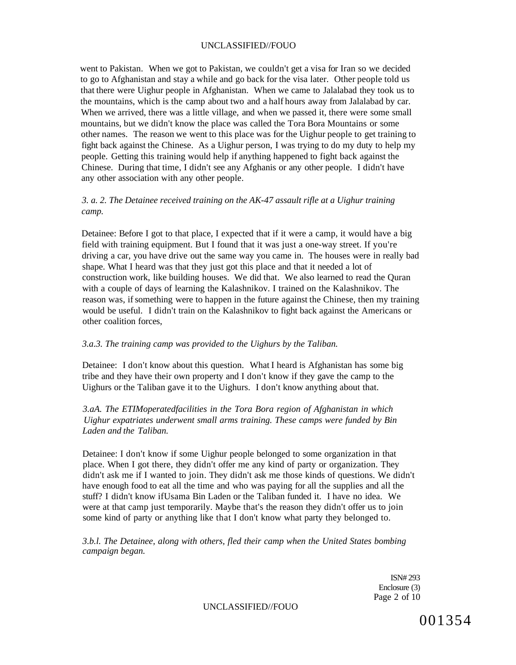went to Pakistan. When we got to Pakistan, we couldn't get a visa for Iran so we decided to go to Afghanistan and stay a while and go back for the visa later. Other people told us that there were Uighur people in Afghanistan. When we came to Jalalabad they took us to the mountains, which is the camp about two and a half hours away from Jalalabad by car. When we arrived, there was a little village, and when we passed it, there were some small mountains, but we didn't know the place was called the Tora Bora Mountains or some other names. The reason we went to this place was for the Uighur people to get training to fight back against the Chinese. As a Uighur person, I was trying to do my duty to help my people. Getting this training would help if anything happened to fight back against the Chinese. During that time, I didn't see any Afghanis or any other people. I didn't have any other association with any other people.

# *3. a. 2. The Detainee received training on the AK-47 assault rifle at a Uighur training camp.*

Detainee: Before I got to that place, I expected that if it were a camp, it would have a big field with training equipment. But I found that it was just a one-way street. If you're driving a car, you have drive out the same way you came in. The houses were in really bad shape. What I heard was that they just got this place and that it needed a lot of construction work, like building houses. We did that. We also learned to read the Quran with a couple of days of learning the Kalashnikov. I trained on the Kalashnikov. The reason was, if something were to happen in the future against the Chinese, then my training would be useful. I didn't train on the Kalashnikov to fight back against the Americans or other coalition forces,

#### *3.a.3. The training camp was provided to the Uighurs by the Taliban.*

Detainee: I don't know about this question. What I heard is Afghanistan has some big tribe and they have their own property and I don't know if they gave the camp to the Uighurs or the Taliban gave it to the Uighurs. I don't know anything about that.

*3.aA. The ETIMoperatedfacilities in the Tora Bora region of Afghanistan in which Uighur expatriates underwent small arms training. These camps were funded by Bin Laden and the Taliban.* 

Detainee: I don't know if some Uighur people belonged to some organization in that place. When I got there, they didn't offer me any kind of party or organization. They didn't ask me if I wanted to join. They didn't ask me those kinds of questions. We didn't have enough food to eat all the time and who was paying for all the supplies and all the stuff? I didn't know ifUsama Bin Laden or the Taliban funded it. I have no idea. We were at that camp just temporarily. Maybe that's the reason they didn't offer us to join some kind of party or anything like that I don't know what party they belonged to.

*3.b.l. The Detainee, along with others, fled their camp when the United States bombing campaign began.* 

> ISN# 293 Enclosure (3) Page 2 of 10

UNCLASSIFIED//FOUO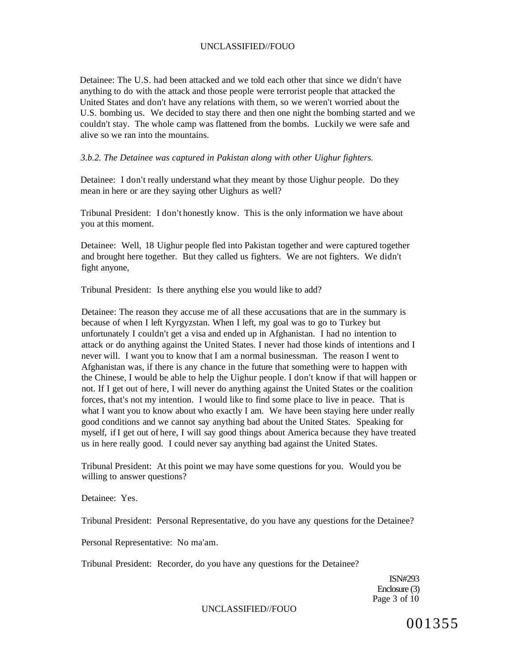Detainee: The U.S. had been attacked and we told each other that since we didn't have anything to do with the attack and those people were terrorist people that attacked the United States and don't have any relations with them, so we weren't worried about the U.S. bombing us. We decided to stay there and then one night the bombing started and we couldn't stay. The whole camp was flattened from the bombs. Luckily we were safe and alive so we ran into the mountains.

### *3.b.2. The Detainee was captured in Pakistan along with other Uighur fighters.*

Detainee: I don't really understand what they meant by those Uighur people. Do they mean in here or are they saying other Uighurs as well?

Tribunal President: I don't honestly know. This is the only information we have about you at this moment.

Detainee: Well, 18 Uighur people fled into Pakistan together and were captured together and brought here together. But they called us fighters. We are not fighters. We didn't fight anyone,

Tribunal President: Is there anything else you would like to add?

Detainee: The reason they accuse me of all these accusations that are in the summary is because of when I left Kyrgyzstan. When I left, my goal was to go to Turkey but unfortunately I couldn't get a visa and ended up in Afghanistan. I had no intention to attack or do anything against the United States. I never had those kinds of intentions and I never will. I want you to know that I am a normal businessman. The reason I went to Afghanistan was, if there is any chance in the future that something were to happen with the Chinese, I would be able to help the Uighur people. I don't know if that will happen or not. If I get out of here, I will never do anything against the United States or the coalition forces, that's not my intention. I would like to find some place to live in peace. That is what I want you to know about who exactly I am. We have been staying here under really good conditions and we cannot say anything bad about the United States. Speaking for myself, if I get out of here, I will say good things about America because they have treated us in here really good. I could never say anything bad against the United States.

Tribunal President: At this point we may have some questions for you. Would you be willing to answer questions?

Detainee: Yes.

Tribunal President: Personal Representative, do you have any questions for the Detainee?

Personal Representative: No ma'am.

Tribunal President: Recorder, do you have any questions for the Detainee?

ISN#293 Enclosure (3) Page 3 of 10

#### UNCLASSIFIED//FOUO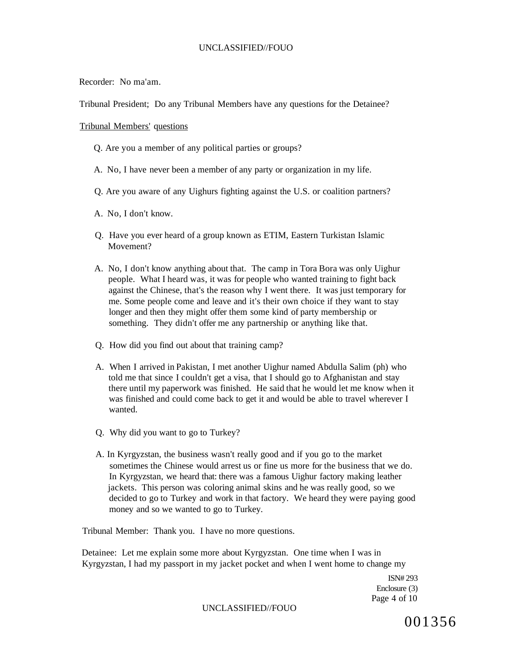Recorder: No ma'am.

Tribunal President; Do any Tribunal Members have any questions for the Detainee?

#### Tribunal Members' questions

- Q. Are you a member of any political parties or groups?
- A. No, I have never been a member of any party or organization in my life.
- Q. Are you aware of any Uighurs fighting against the U.S. or coalition partners?
- A. No, I don't know.
- Q. Have you ever heard of a group known as ETIM, Eastern Turkistan Islamic Movement?
- A. No, I don't know anything about that. The camp in Tora Bora was only Uighur people. What I heard was, it was for people who wanted training to fight back against the Chinese, that's the reason why I went there. It was just temporary for me. Some people come and leave and it's their own choice if they want to stay longer and then they might offer them some kind of party membership or something. They didn't offer me any partnership or anything like that.
- Q. How did you find out about that training camp?
- A. When I arrived in Pakistan, I met another Uighur named Abdulla Salim (ph) who told me that since I couldn't get a visa, that I should go to Afghanistan and stay there until my paperwork was finished. He said that he would let me know when it was finished and could come back to get it and would be able to travel wherever I wanted.
- Q. Why did you want to go to Turkey?
- A. In Kyrgyzstan, the business wasn't really good and if you go to the market sometimes the Chinese would arrest us or fine us more for the business that we do. In Kyrgyzstan, we heard that: there was a famous Uighur factory making leather jackets. This person was coloring animal skins and he was really good, so we decided to go to Turkey and work in that factory. We heard they were paying good money and so we wanted to go to Turkey.

Tribunal Member: Thank you. I have no more questions.

Detainee: Let me explain some more about Kyrgyzstan. One time when I was in Kyrgyzstan, I had my passport in my jacket pocket and when I went home to change my

> ISN# 293 Enclosure (3) Page 4 of 10

#### UNCLASSIFIED//FOUO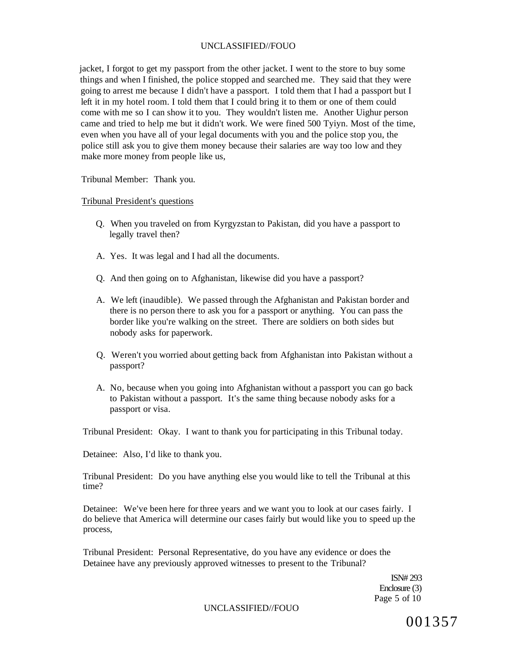jacket, I forgot to get my passport from the other jacket. I went to the store to buy some things and when I finished, the police stopped and searched me. They said that they were going to arrest me because I didn't have a passport. I told them that I had a passport but I left it in my hotel room. I told them that I could bring it to them or one of them could come with me so I can show it to you. They wouldn't listen me. Another Uighur person came and tried to help me but it didn't work. We were fined 500 Tyiyn. Most of the time, even when you have all of your legal documents with you and the police stop you, the police still ask you to give them money because their salaries are way too low and they make more money from people like us,

Tribunal Member: Thank you.

#### Tribunal President's questions

- Q. When you traveled on from Kyrgyzstan to Pakistan, did you have a passport to legally travel then?
- A. Yes. It was legal and I had all the documents.
- Q. And then going on to Afghanistan, likewise did you have a passport?
- A. We left (inaudible). We passed through the Afghanistan and Pakistan border and there is no person there to ask you for a passport or anything. You can pass the border like you're walking on the street. There are soldiers on both sides but nobody asks for paperwork.
- Q. Weren't you worried about getting back from Afghanistan into Pakistan without a passport?
- A. No, because when you going into Afghanistan without a passport you can go back to Pakistan without a passport. It's the same thing because nobody asks for a passport or visa.

Tribunal President: Okay. I want to thank you for participating in this Tribunal today.

Detainee: Also, I'd like to thank you.

Tribunal President: Do you have anything else you would like to tell the Tribunal at this time?

Detainee: We've been here for three years and we want you to look at our cases fairly. I do believe that America will determine our cases fairly but would like you to speed up the process,

Tribunal President: Personal Representative, do you have any evidence or does the Detainee have any previously approved witnesses to present to the Tribunal?

> ISN# 293 Enclosure (3) Page 5 of 10

#### UNCLASSIFIED//FOUO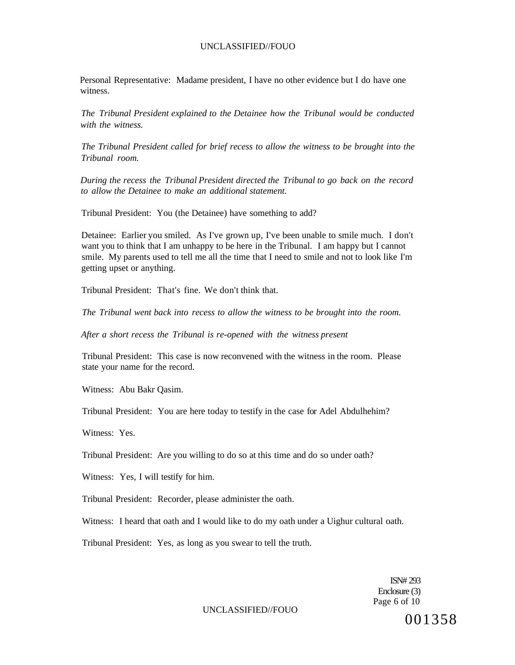Personal Representative: Madame president, I have no other evidence but I do have one witness.

*The Tribunal President explained to the Detainee how the Tribunal would be conducted with the witness.* 

*The Tribunal President called for brief recess to allow the witness to be brought into the Tribunal room.* 

*During the recess the Tribunal President directed the Tribunal to go back on the record to allow the Detainee to make an additional statement.* 

Tribunal President: You (the Detainee) have something to add?

Detainee: Earlier you smiled. As I've grown up, I've been unable to smile much. I don't want you to think that I am unhappy to be here in the Tribunal. I am happy but I cannot smile. My parents used to tell me all the time that I need to smile and not to look like I'm getting upset or anything.

Tribunal President: That's fine. We don't think that.

*The Tribunal went back into recess to allow the witness to be brought into the room.* 

*After a short recess the Tribunal is re-opened with the witness present* 

Tribunal President: This case is now reconvened with the witness in the room. Please state your name for the record.

Witness: Abu Bakr Qasim.

Tribunal President: You are here today to testify in the case for Adel Abdulhehim?

Witness: Yes.

Tribunal President: Are you willing to do so at this time and do so under oath?

Witness: Yes, I will testify for him.

Tribunal President: Recorder, please administer the oath.

Witness: I heard that oath and I would like to do my oath under a Uighur cultural oath.

Tribunal President: Yes, as long as you swear to tell the truth.

ISN# 293 Enclosure (3) Page 6 of 10

UNCLASSIFIED//FOUO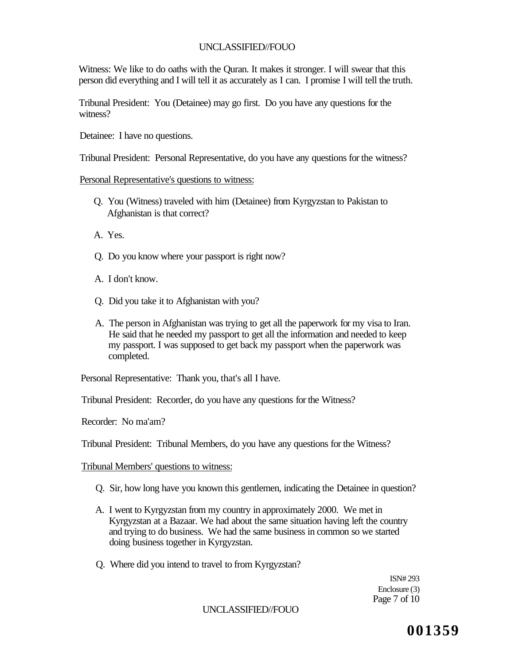Witness: We like to do oaths with the Quran. It makes it stronger. I will swear that this person did everything and I will tell it as accurately as I can. I promise I will tell the truth.

Tribunal President: You (Detainee) may go first. Do you have any questions for the witness?

Detainee: I have no questions.

Tribunal President: Personal Representative, do you have any questions for the witness?

### Personal Representative's questions to witness:

- Q. You (Witness) traveled with him (Detainee) from Kyrgyzstan to Pakistan to Afghanistan is that correct?
- A. Yes.
- Q. Do you know where your passport is right now?
- A. I don't know.
- Q. Did you take it to Afghanistan with you?
- A. The person in Afghanistan was trying to get all the paperwork for my visa to Iran. He said that he needed my passport to get all the information and needed to keep my passport. I was supposed to get back my passport when the paperwork was completed.

Personal Representative: Thank you, that's all I have.

Tribunal President: Recorder, do you have any questions for the Witness?

Recorder: No ma'am?

Tribunal President: Tribunal Members, do you have any questions for the Witness?

Tribunal Members' questions to witness:

- Q. Sir, how long have you known this gentlemen, indicating the Detainee in question?
- A. I went to Kyrgyzstan from my country in approximately 2000. We met in Kyrgyzstan at a Bazaar. We had about the same situation having left the country and trying to do business. We had the same business in common so we started doing business together in Kyrgyzstan.
- Q. Where did you intend to travel to from Kyrgyzstan?

ISN# 293 Enclosure (3) Page 7 of 10

## UNCLASSIFIED//FOUO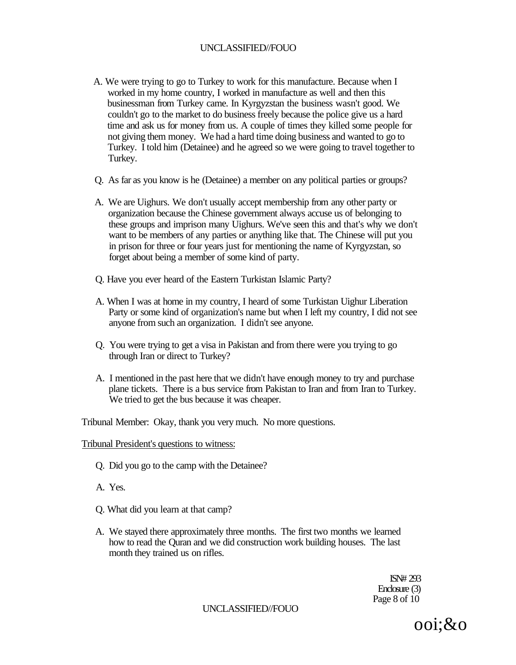- A. We were trying to go to Turkey to work for this manufacture. Because when I worked in my home country, I worked in manufacture as well and then this businessman from Turkey came. In Kyrgyzstan the business wasn't good. We couldn't go to the market to do business freely because the police give us a hard time and ask us for money from us. A couple of times they killed some people for not giving them money. We had a hard time doing business and wanted to go to Turkey. I told him (Detainee) and he agreed so we were going to travel together to Turkey.
- Q. As far as you know is he (Detainee) a member on any political parties or groups?
- A. We are Uighurs. We don't usually accept membership from any other party or organization because the Chinese government always accuse us of belonging to these groups and imprison many Uighurs. We've seen this and that's why we don't want to be members of any parties or anything like that. The Chinese will put you in prison for three or four years just for mentioning the name of Kyrgyzstan, so forget about being a member of some kind of party.
- Q. Have you ever heard of the Eastern Turkistan Islamic Party?
- A. When I was at home in my country, I heard of some Turkistan Uighur Liberation Party or some kind of organization's name but when I left my country, I did not see anyone from such an organization. I didn't see anyone.
- Q. You were trying to get a visa in Pakistan and from there were you trying to go through Iran or direct to Turkey?
- A. I mentioned in the past here that we didn't have enough money to try and purchase plane tickets. There is a bus service from Pakistan to Iran and from Iran to Turkey. We tried to get the bus because it was cheaper.

Tribunal Member: Okay, thank you very much. No more questions.

Tribunal President's questions to witness:

- Q. Did you go to the camp with the Detainee?
- A. Yes.
- Q. What did you learn at that camp?
- A. We stayed there approximately three months. The first two months we learned how to read the Quran and we did construction work building houses. The last month they trained us on rifles.

ISN# 293 Enclosure (3) Page 8 of 10

UNCLASSIFIED//FOUO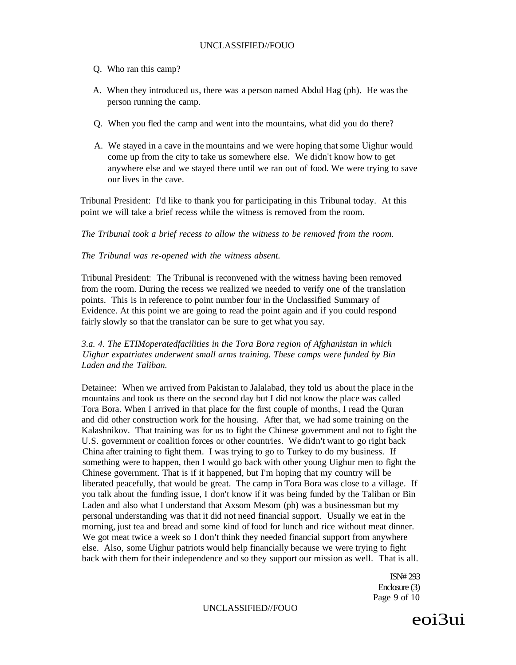- Q. Who ran this camp?
- A. When they introduced us, there was a person named Abdul Hag (ph). He was the person running the camp.
- Q. When you fled the camp and went into the mountains, what did you do there?
- A. We stayed in a cave in the mountains and we were hoping that some Uighur would come up from the city to take us somewhere else. We didn't know how to get anywhere else and we stayed there until we ran out of food. We were trying to save our lives in the cave.

Tribunal President: I'd like to thank you for participating in this Tribunal today. At this point we will take a brief recess while the witness is removed from the room.

*The Tribunal took a brief recess to allow the witness to be removed from the room.* 

#### *The Tribunal was re-opened with the witness absent.*

Tribunal President: The Tribunal is reconvened with the witness having been removed from the room. During the recess we realized we needed to verify one of the translation points. This is in reference to point number four in the Unclassified Summary of Evidence. At this point we are going to read the point again and if you could respond fairly slowly so that the translator can be sure to get what you say.

## *3.a. 4. The ETIMoperatedfacilities in the Tora Bora region of Afghanistan in which Uighur expatriates underwent small arms training. These camps were funded by Bin Laden and the Taliban.*

Detainee: When we arrived from Pakistan to Jalalabad, they told us about the place in the mountains and took us there on the second day but I did not know the place was called Tora Bora. When I arrived in that place for the first couple of months, I read the Quran and did other construction work for the housing. After that, we had some training on the Kalashnikov. That training was for us to fight the Chinese government and not to fight the U.S. government or coalition forces or other countries. We didn't want to go right back China after training to fight them. I was trying to go to Turkey to do my business. If something were to happen, then I would go back with other young Uighur men to fight the Chinese government. That is if it happened, but I'm hoping that my country will be liberated peacefully, that would be great. The camp in Tora Bora was close to a village. If you talk about the funding issue, I don't know if it was being funded by the Taliban or Bin Laden and also what I understand that Axsom Mesom (ph) was a businessman but my personal understanding was that it did not need financial support. Usually we eat in the morning, just tea and bread and some kind of food for lunch and rice without meat dinner. We got meat twice a week so I don't think they needed financial support from anywhere else. Also, some Uighur patriots would help financially because we were trying to fight back with them for their independence and so they support our mission as well. That is all.

> ISN# 293 Enclosure (3) Page 9 of 10

UNCLASSIFIED//FOUO

eoi3ui